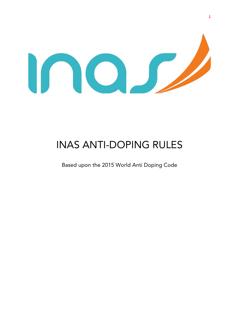

# INAS ANTI-DOPING RULES

Based upon the 2015 World Anti Doping Code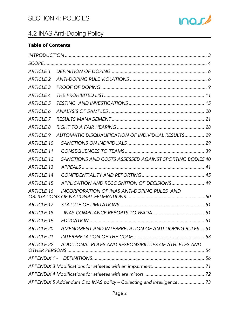

### **Table of Contents**

| <b>ARTICLE 1</b>                                                       |                                                         |  |
|------------------------------------------------------------------------|---------------------------------------------------------|--|
| <b>ARTICLE 2</b>                                                       |                                                         |  |
| <b>ARTICLE 3</b>                                                       |                                                         |  |
| <b>ARTICLE 4</b>                                                       |                                                         |  |
| <b>ARTICLE 5</b>                                                       |                                                         |  |
| <b>ARTICLE 6</b>                                                       |                                                         |  |
| <b>ARTICLE 7</b>                                                       |                                                         |  |
| <b>ARTICLE 8</b>                                                       |                                                         |  |
| <b>ARTICLE 9</b>                                                       | AUTOMATIC DISQUALIFICATION OF INDIVIDUAL RESULTS 29     |  |
| <b>ARTICLE 10</b>                                                      |                                                         |  |
| <b>ARTICLE 11</b>                                                      |                                                         |  |
| <b>ARTICLE 12</b>                                                      | SANCTIONS AND COSTS ASSESSED AGAINST SPORTING BODIES 40 |  |
| <b>ARTICLE 13</b>                                                      |                                                         |  |
| <b>ARTICLE 14</b>                                                      |                                                         |  |
| <b>ARTICLE 15</b>                                                      | APPLICATION AND RECOGNITION OF DECISIONS 49             |  |
| <b>ARTICLE 16</b>                                                      | INCORPORATION OF INAS ANTI-DOPING RULES AND             |  |
| <b>ARTICLE 17</b>                                                      |                                                         |  |
| <b>ARTICLE 18</b>                                                      |                                                         |  |
| <b>ARTICLE 19</b>                                                      |                                                         |  |
| <b>ARTICLE 20</b>                                                      | AMENDMENT AND INTERPRETATION OF ANTI-DOPING RULES  51   |  |
| <b>ARTICLE 21</b>                                                      |                                                         |  |
| <b>ARTICLE 22</b>                                                      | ADDITIONAL ROLES AND RESPONSIBILITIES OF ATHLETES AND   |  |
|                                                                        |                                                         |  |
|                                                                        |                                                         |  |
|                                                                        |                                                         |  |
| APPENDIX 5 Addendum C to INAS policy - Collecting and Intelligence  73 |                                                         |  |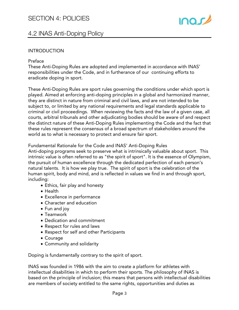

#### INTRODUCTION

#### Preface

These Anti-Doping Rules are adopted and implemented in accordance with INAS' responsibilities under the Code, and in furtherance of our continuing efforts to eradicate doping in sport.

These Anti-Doping Rules are sport rules governing the conditions under which sport is played. Aimed at enforcing anti-doping principles in a global and harmonized manner, they are distinct in nature from criminal and civil laws, and are not intended to be subject to, or limited by any national requirements and legal standards applicable to criminal or civil proceedings. When reviewing the facts and the law of a given case, all courts, arbitral tribunals and other adjudicating bodies should be aware of and respect the distinct nature of these Anti-Doping Rules implementing the Code and the fact that these rules represent the consensus of a broad spectrum of stakeholders around the world as to what is necessary to protect and ensure fair sport.

Fundamental Rationale for the Code and INAS' Anti-Doping Rules

Anti-doping programs seek to preserve what is intrinsically valuable about sport. This intrinsic value is often referred to as "the spirit of sport". It is the essence of Olympism, the pursuit of human excellence through the dedicated perfection of each person's natural talents. It is how we play true. The spirit of sport is the celebration of the human spirit, body and mind, and is reflected in values we find in and through sport, including:

- Ethics, fair play and honesty
- Health
- Excellence in performance
- Character and education
- Fun and joy
- Teamwork
- Dedication and commitment
- Respect for rules and laws
- Respect for self and other Participants
- Courage
- Community and solidarity

Doping is fundamentally contrary to the spirit of sport.

INAS was founded in 1986 with the aim to create a platform for athletes with intellectual disabilities in which to perform their sports. The philosophy of INAS is based on the principle of inclusion; this means that persons with intellectual disabilities are members of society entitled to the same rights, opportunities and duties as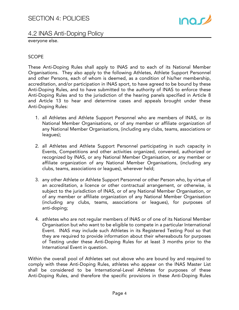

everyone else.

#### **SCOPE**

These Anti-Doping Rules shall apply to INAS and to each of its National Member Organisations. They also apply to the following Athletes, Athlete Support Personnel and other Persons, each of whom is deemed, as a condition of his/her membership, accreditation, and/or participation in INAS sport, to have agreed to be bound by these Anti-Doping Rules, and to have submitted to the authority of INAS to enforce these Anti-Doping Rules and to the jurisdiction of the hearing panels specified in Article 8 and Article 13 to hear and determine cases and appeals brought under these Anti-Doping Rules:

- 1. all Athletes and Athlete Support Personnel who are members of INAS, or its National Member Organisations, or of any member or affiliate organization of any National Member Organisations, (including any clubs, teams, associations or leagues);
- 2. all Athletes and Athlete Support Personnel participating in such capacity in Events, Competitions and other activities organized, convened, authorized or recognized by INAS, or any National Member Organisation, or any member or affiliate organization of any National Member Organisations, (including any clubs, teams, associations or leagues), wherever held;
- 3. any other Athlete or Athlete Support Personnel or other Person who, by virtue of an accreditation, a licence or other contractual arrangement, or otherwise, is subject to the jurisdiction of INAS, or of any National Member Organisation, or of any member or affiliate organization of any National Member Organisation (including any clubs, teams, associations or leagues), for purposes of anti-doping;
- 4. athletes who are not regular members of INAS or of one of its National Member Organisation but who want to be eligible to compete in a particular International Event. INAS may include such Athletes in its Registered Testing Pool so that they are required to provide information about their whereabouts for purposes of Testing under these Anti-Doping Rules for at least 3 months prior to the International Event in question.

Within the overall pool of Athletes set out above who are bound by and required to comply with these Anti-Doping Rules, athletes who appear on the INAS Master List shall be considered to be International-Level Athletes for purposes of these Anti-Doping Rules, and therefore the specific provisions in these Anti-Doping Rules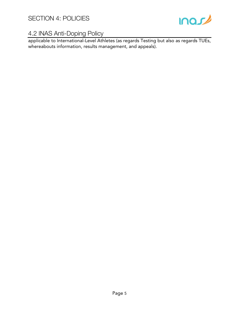

applicable to International-Level Athletes (as regards Testing but also as regards TUEs, whereabouts information, results management, and appeals).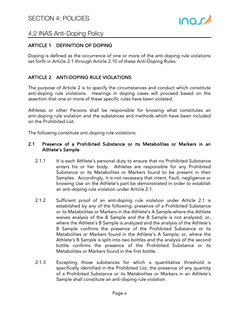

### ARTICLE 1 DEFINITION OF DOPING

Doping is defined as the occurrence of one or more of the anti-doping rule violations set forth in Article 2.1 through Article 2.10 of these Anti-Doping Rules.

### ARTICLE 2 ANTI-DOPING RULE VIOLATIONS

The purpose of Article 2 is to specify the circumstances and conduct which constitute anti-doping rule violations. Hearings in doping cases will proceed based on the assertion that one or more of these specific rules have been violated.

Athletes or other Persons shall be responsible for knowing what constitutes an anti-doping rule violation and the substances and methods which have been included on the Prohibited List.

The following constitute anti-doping rule violations:

#### 2.1 Presence of a Prohibited Substance or its Metabolites or Markers in an Athlete's Sample

- 2.1.1 It is each Athlete's personal duty to ensure that no Prohibited Substance enters his or her body. Athletes are responsible for any Prohibited Substance or its Metabolites or Markers found to be present in their Samples. Accordingly, it is not necessary that intent, Fault, negligence or knowing Use on the Athlete's part be demonstrated in order to establish an anti-doping rule violation under Article 2.1.
- 2.1.2 Sufficient proof of an anti-doping rule violation under Article 2.1 is established by any of the following: presence of a Prohibited Substance or its Metabolites or Markers in the Athlete's A Sample where the Athlete waives analysis of the B Sample and the B Sample is not analyzed; or, where the Athlete's B Sample is analyzed and the analysis of the Athlete's B Sample confirms the presence of the Prohibited Substance or its Metabolites or Markers found in the Athlete's A Sample; or, where the Athlete's B Sample is split into two bottles and the analysis of the second bottle confirms the presence of the Prohibited Substance or its Metabolites or Markers found in the first bottle.
- 2.1.3 Excepting those substances for which a quantitative threshold is specifically identified in the Prohibited List, the presence of any quantity of a Prohibited Substance or its Metabolites or Markers in an Athlete's Sample shall constitute an anti-doping rule violation.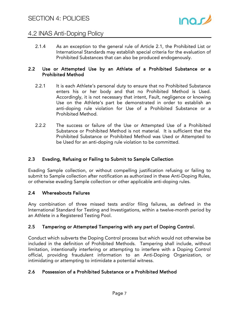

2.1.4 As an exception to the general rule of Article 2.1, the Prohibited List or International Standards may establish special criteria for the evaluation of Prohibited Substances that can also be produced endogenously.

#### 2.2 Use or Attempted Use by an Athlete of a Prohibited Substance or a Prohibited Method

- 2.2.1 It is each Athlete's personal duty to ensure that no Prohibited Substance enters his or her body and that no Prohibited Method is Used. Accordingly, it is not necessary that intent, Fault, negligence or knowing Use on the Athlete's part be demonstrated in order to establish an anti-doping rule violation for Use of a Prohibited Substance or a Prohibited Method.
- 2.2.2 The success or failure of the Use or Attempted Use of a Prohibited Substance or Prohibited Method is not material. It is sufficient that the Prohibited Substance or Prohibited Method was Used or Attempted to be Used for an anti-doping rule violation to be committed.

### 2.3 Evading, Refusing or Failing to Submit to Sample Collection

Evading Sample collection, or without compelling justification refusing or failing to submit to Sample collection after notification as authorized in these Anti-Doping Rules, or otherwise evading Sample collection or other applicable anti-doping rules.

#### 2.4 Whereabouts Failures

Any combination of three missed tests and/or filing failures, as defined in the International Standard for Testing and Investigations, within a twelve-month period by an Athlete in a Registered Testing Pool.

#### 2.5 Tampering or Attempted Tampering with any part of Doping Control.

Conduct which subverts the Doping Control process but which would not otherwise be included in the definition of Prohibited Methods. Tampering shall include, without limitation, intentionally interfering or attempting to interfere with a Doping Control official, providing fraudulent information to an Anti-Doping Organization, or intimidating or attempting to intimidate a potential witness.

#### 2.6 Possession of a Prohibited Substance or a Prohibited Method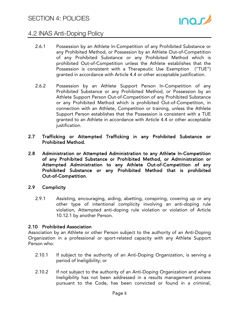

- 2.6.1 Possession by an Athlete In-Competition of any Prohibited Substance or any Prohibited Method, or Possession by an Athlete Out-of-Competition of any Prohibited Substance or any Prohibited Method which is prohibited Out-of-Competition unless the Athlete establishes that the Possession is consistent with a Therapeutic Use Exemption ("TUE") granted in accordance with Article 4.4 or other acceptable justification.
- 2.6.2 Possession by an Athlete Support Person In-Competition of any Prohibited Substance or any Prohibited Method, or Possession by an Athlete Support Person Out-of-Competition of any Prohibited Substance or any Prohibited Method which is prohibited Out-of-Competition, in connection with an Athlete, Competition or training, unless the Athlete Support Person establishes that the Possession is consistent with a TUE granted to an Athlete in accordance with Article 4.4 or other acceptable justification.
- 2.7 Trafficking or Attempted Trafficking in any Prohibited Substance or Prohibited Method.
- 2.8 Administration or Attempted Administration to any Athlete In-Competition of any Prohibited Substance or Prohibited Method, or Administration or Attempted Administration to any Athlete Out-of-Competition of any Prohibited Substance or any Prohibited Method that is prohibited Out-of-Competition.

#### 2.9 Complicity

2.9.1 Assisting, encouraging, aiding, abetting, conspiring, covering up or any other type of intentional complicity involving an anti-doping rule violation, Attempted anti-doping rule violation or violation of Article 10.12.1 by another Person.

#### 2.10 Prohibited Association

Association by an Athlete or other Person subject to the authority of an Anti-Doping Organization in a professional or sport-related capacity with any Athlete Support Person who:

- 2.10.1 If subject to the authority of an Anti-Doping Organization, is serving a period of Ineligibility; or
- 2.10.2 If not subject to the authority of an Anti-Doping Organization and where Ineligibility has not been addressed in a results management process pursuant to the Code, has been convicted or found in a criminal,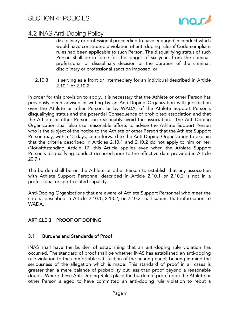

disciplinary or professional proceeding to have engaged in conduct which would have constituted a violation of anti-doping rules if Code-compliant rules had been applicable to such Person. The disqualifying status of such Person shall be in force for the longer of six years from the criminal, professional or disciplinary decision or the duration of the criminal, disciplinary or professional sanction imposed; or

2.10.3 Is serving as a front or intermediary for an individual described in Article 2.10.1 or 2.10.2.

In order for this provision to apply, it is necessary that the Athlete or other Person has previously been advised in writing by an Anti-Doping Organization with jurisdiction over the Athlete or other Person, or by WADA, of the Athlete Support Person's disqualifying status and the potential Consequence of prohibited association and that the Athlete or other Person can reasonably avoid the association. The Anti-Doping Organization shall also use reasonable efforts to advise the Athlete Support Person who is the subject of the notice to the Athlete or other Person that the Athlete Support Person may, within 15 days, come forward to the Anti-Doping Organization to explain that the criteria described in Articles 2.10.1 and 2.10.2 do not apply to him or her. (Notwithstanding Article 17, this Article applies even when the Athlete Support Person's disqualifying conduct occurred prior to the effective date provided in Article 20.7.)

The burden shall be on the Athlete or other Person to establish that any association with Athlete Support Personnel described in Article 2.10.1 or 2.10.2 is not in a professional or sport-related capacity.

Anti-Doping Organizations that are aware of Athlete Support Personnel who meet the criteria described in Article 2.10.1, 2.10.2, or 2.10.3 shall submit that information to WADA.

### ARTICLE 3 PROOF OF DOPING

#### 3.1 Burdens and Standards of Proof

INAS shall have the burden of establishing that an anti-doping rule violation has occurred. The standard of proof shall be whether INAS has established an anti-doping rule violation to the comfortable satisfaction of the hearing panel, bearing in mind the seriousness of the allegation which is made. This standard of proof in all cases is greater than a mere balance of probability but less than proof beyond a reasonable doubt. Where these Anti-Doping Rules place the burden of proof upon the Athlete or other Person alleged to have committed an anti-doping rule violation to rebut a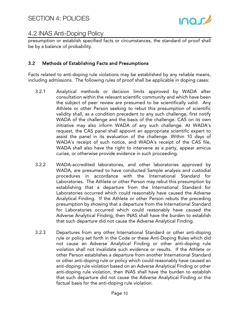

presumption or establish specified facts or circumstances, the standard of proof shall be by a balance of probability.

#### 3.2 Methods of Establishing Facts and Presumptions

Facts related to anti-doping rule violations may be established by any reliable means, including admissions. The following rules of proof shall be applicable in doping cases:

- 3.2.1 Analytical methods or decision limits approved by WADA after consultation within the relevant scientific community and which have been the subject of peer review are presumed to be scientifically valid. Any Athlete or other Person seeking to rebut this presumption of scientific validity shall, as a condition precedent to any such challenge, first notify WADA of the challenge and the basis of the challenge. CAS on its own initiative may also inform WADA of any such challenge. At WADA's request, the CAS panel shall appoint an appropriate scientific expert to assist the panel in its evaluation of the challenge. Within 10 days of WADA's receipt of such notice, and WADA's receipt of the CAS file, WADA shall also have the right to intervene as a party, appear amicus curiae, or otherwise provide evidence in such proceeding.
- 3.2.2 WADA-accredited laboratories, and other laboratories approved by WADA, are presumed to have conducted Sample analysis and custodial procedures in accordance with the International Standard for Laboratories. The Athlete or other Person may rebut this presumption by establishing that a departure from the International Standard for Laboratories occurred which could reasonably have caused the Adverse Analytical Finding. If the Athlete or other Person rebuts the preceding presumption by showing that a departure from the International Standard for Laboratories occurred which could reasonably have caused the Adverse Analytical Finding, then INAS shall have the burden to establish that such departure did not cause the Adverse Analytical Finding.
- 3.2.3 Departures from any other International Standard or other anti-doping rule or policy set forth in the Code or these Anti-Doping Rules which did not cause an Adverse Analytical Finding or other anti-doping rule violation shall not invalidate such evidence or results. If the Athlete or other Person establishes a departure from another International Standard or other anti-doping rule or policy which could reasonably have caused an anti-doping rule violation based on an Adverse Analytical Finding or other anti-doping rule violation, then INAS shall have the burden to establish that such departure did not cause the Adverse Analytical Finding or the factual basis for the anti-doping rule violation.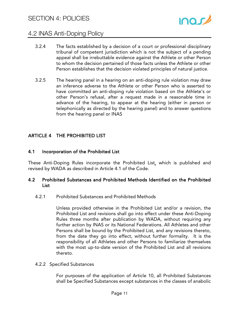

- 3.2.4 The facts established by a decision of a court or professional disciplinary tribunal of competent jurisdiction which is not the subject of a pending appeal shall be irrebuttable evidence against the Athlete or other Person to whom the decision pertained of those facts unless the Athlete or other Person establishes that the decision violated principles of natural justice.
- 3.2.5 The hearing panel in a hearing on an anti-doping rule violation may draw an inference adverse to the Athlete or other Person who is asserted to have committed an anti-doping rule violation based on the Athlete's or other Person's refusal, after a request made in a reasonable time in advance of the hearing, to appear at the hearing (either in person or telephonically as directed by the hearing panel) and to answer questions from the hearing panel or INAS

### ARTICLE 4 THE PROHIBITED LIST

#### 4.1 Incorporation of the Prohibited List

These Anti-Doping Rules incorporate the Prohibited List, which is published and revised by WADA as described in Article 4.1 of the Code.

#### 4.2 Prohibited Substances and Prohibited Methods Identified on the Prohibited List

#### 4.2.1 Prohibited Substances and Prohibited Methods

Unless provided otherwise in the Prohibited List and/or a revision, the Prohibited List and revisions shall go into effect under these Anti-Doping Rules three months after publication by WADA, without requiring any further action by INAS or its National Federations. All Athletes and other Persons shall be bound by the Prohibited List, and any revisions thereto, from the date they go into effect, without further formality. It is the responsibility of all Athletes and other Persons to familiarize themselves with the most up-to-date version of the Prohibited List and all revisions thereto.

4.2.2 Specified Substances

For purposes of the application of Article 10, all Prohibited Substances shall be Specified Substances except substances in the classes of anabolic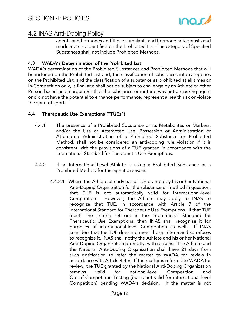

agents and hormones and those stimulants and hormone antagonists and modulators so identified on the Prohibited List. The category of Specified Substances shall not include Prohibited Methods.

#### 4.3 WADA's Determination of the Prohibited List

WADA's determination of the Prohibited Substances and Prohibited Methods that will be included on the Prohibited List and, the classification of substances into categories on the Prohibited List, and the classification of a substance as prohibited at all times or In-Competition only, is final and shall not be subject to challenge by an Athlete or other Person based on an argument that the substance or method was not a masking agent or did not have the potential to enhance performance, represent a health risk or violate the spirit of sport.

#### 4.4 Therapeutic Use Exemptions ("TUEs")

- 4.4.1 The presence of a Prohibited Substance or its Metabolites or Markers, and/or the Use or Attempted Use, Possession or Administration or Attempted Administration of a Prohibited Substance or Prohibited Method, shall not be considered an anti-doping rule violation if it is consistent with the provisions of a TUE granted in accordance with the International Standard for Therapeutic Use Exemptions.
- 4.4.2 If an International-Level Athlete is using a Prohibited Substance or a Prohibited Method for therapeutic reasons:
	- 4.4.2.1 Where the Athlete already has a TUE granted by his or her National Anti-Doping Organization for the substance or method in question, that TUE is not automatically valid for international-level Competition. However, the Athlete may apply to INAS to recognize that TUE, in accordance with Article 7 of the International Standard for Therapeutic Use Exemptions. If that TUE meets the criteria set out in the International Standard for Therapeutic Use Exemptions, then INAS shall recognize it for purposes of international-level Competition as well. If INAS considers that the TUE does not meet those criteria and so refuses to recognize it, INAS shall notify the Athlete and his or her National Anti-Doping Organization promptly, with reasons. The Athlete and the National Anti-Doping Organization shall have 21 days from such notification to refer the matter to WADA for review in accordance with Article 4.4.6. If the matter is referred to WADA for review, the TUE granted by the National Anti-Doping Organization remains valid for national-level Competition and Out-of-Competition Testing (but is not valid for international-level Competition) pending WADA's decision. If the matter is not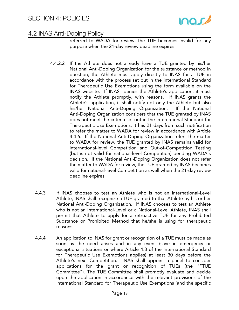

referred to WADA for review, the TUE becomes invalid for any purpose when the 21-day review deadline expires.

- 4.4.2.2 If the Athlete does not already have a TUE granted by his/her National Anti-Doping Organization for the substance or method in question, the Athlete must apply directly to INAS for a TUE in accordance with the process set out in the International Standard for Therapeutic Use Exemptions using the form available on the INAS website. If INAS denies the Athlete's application, it must notify the Athlete promptly, with reasons. If INAS grants the Athlete's application, it shall notify not only the Athlete but also his/her National Anti-Doping Organization. If the National Anti-Doping Organization considers that the TUE granted by INAS does not meet the criteria set out in the International Standard for Therapeutic Use Exemptions, it has 21 days from such notification to refer the matter to WADA for review in accordance with Article 4.4.6. If the National Anti-Doping Organization refers the matter to WADA for review, the TUE granted by INAS remains valid for international-level Competition and Out-of-Competition Testing (but is not valid for national-level Competition) pending WADA's decision. If the National Anti-Doping Organization does not refer the matter to WADA for review, the TUE granted by INAS becomes valid for national-level Competition as well when the 21-day review deadline expires.
- 4.4.3 If INAS chooses to test an Athlete who is not an International-Level Athlete, INAS shall recognize a TUE granted to that Athlete by his or her National Anti-Doping Organization. If INAS chooses to test an Athlete who is not an International-Level or a National-Level Athlete, INAS shall permit that Athlete to apply for a retroactive TUE for any Prohibited Substance or Prohibited Method that he/she is using for therapeutic reasons.
- 4.4.4 An application to INAS for grant or recognition of a TUE must be made as soon as the need arises and in any event (save in emergency or exceptional situations or where Article 4.3 of the International Standard for Therapeutic Use Exemptions applies) at least 30 days before the Athlete's next Competition. INAS shall appoint a panel to consider applications for the grant or recognition of TUEs (the ""TUE Committee"). The TUE Committee shall promptly evaluate and decide upon the application in accordance with the relevant provisions of the International Standard for Therapeutic Use Exemptions [and the specific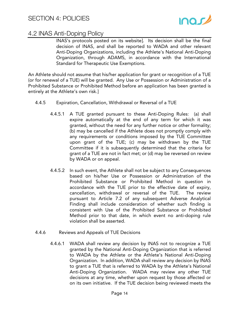

INAS's protocols posted on its website]. Its decision shall be the final decision of INAS, and shall be reported to WADA and other relevant Anti-Doping Organizations, including the Athlete's National Anti-Doping Organization, through ADAMS, in accordance with the International Standard for Therapeutic Use Exemptions.

An Athlete should not assume that his/her application for grant or recognition of a TUE (or for renewal of a TUE) will be granted. Any Use or Possession or Administration of a Prohibited Substance or Prohibited Method before an application has been granted is entirely at the Athlete's own risk.]

- 4.4.5 Expiration, Cancellation, Withdrawal or Reversal of a TUE
	- 4.4.5.1 A TUE granted pursuant to these Anti-Doping Rules: (a) shall expire automatically at the end of any term for which it was granted, without the need for any further notice or other formality; (b) may be cancelled if the Athlete does not promptly comply with any requirements or conditions imposed by the TUE Committee upon grant of the TUE; (c) may be withdrawn by the TUE Committee if it is subsequently determined that the criteria for grant of a TUE are not in fact met; or (d) may be reversed on review by WADA or on appeal.
	- 4.4.5.2 In such event, the Athlete shall not be subject to any Consequences based on his/her Use or Possession or Administration of the Prohibited Substance or Prohibited Method in question in accordance with the TUE prior to the effective date of expiry, cancellation, withdrawal or reversal of the TUE. The review pursuant to Article 7.2 of any subsequent Adverse Analytical Finding shall include consideration of whether such finding is consistent with Use of the Prohibited Substance or Prohibited Method prior to that date, in which event no anti-doping rule violation shall be asserted.
- 4.4.6 Reviews and Appeals of TUE Decisions
	- 4.4.6.1 WADA shall review any decision by INAS not to recognize a TUE granted by the National Anti-Doping Organization that is referred to WADA by the Athlete or the Athlete's National Anti-Doping Organization. In addition, WADA shall review any decision by INAS to grant a TUE that is referred to WADA by the Athlete's National Anti-Doping Organization. WADA may review any other TUE decisions at any time, whether upon request by those affected or on its own initiative. If the TUE decision being reviewed meets the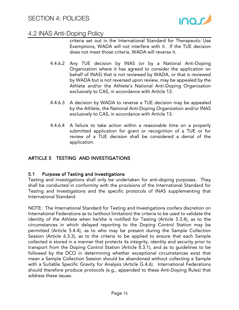

criteria set out in the International Standard for Therapeutic Use Exemptions, WADA will not interfere with it. If the TUE decision does not meet those criteria, WADA will reverse it.

- 4.4.6.2 Any TUE decision by INAS (or by a National Anti-Doping Organization where it has agreed to consider the application on behalf of INAS) that is not reviewed by WADA, or that is reviewed by WADA but is not reversed upon review, may be appealed by the Athlete and/or the Athlete's National Anti-Doping Organization exclusively to CAS, in accordance with Article 13.
- 4.4.6.3 A decision by WADA to reverse a TUE decision may be appealed by the Athlete, the National Anti-Doping Organization and/or INAS exclusively to CAS, in accordance with Article 13.
- 4.4.6.4 A failure to take action within a reasonable time on a properly submitted application for grant or recognition of a TUE or for review of a TUE decision shall be considered a denial of the application.

### ARTICLE 5 TESTING AND INVESTIGATIONS

#### 5.1 Purpose of Testing and Investigations

Testing and investigations shall only be undertaken for anti-doping purposes. They shall be conducted in conformity with the provisions of the International Standard for Testing and Investigations and the specific protocols of INAS supplementing that International Standard.

NOTE: The International Standard for Testing and Investigations confers discretion on International Federations as to (without limitation) the criteria to be used to validate the identity of the Athlete when he/she is notified for Testing (Article 5.3.4), as to the circumstances in which delayed reporting to the Doping Control Station may be permitted (Article 5.4.4), as to who may be present during the Sample Collection Session (Article 6.3.3), as to the criteria to be applied to ensure that each Sample collected is stored in a manner that protects its integrity, identity and security prior to transport from the Doping Control Station (Article 8.3.1), and as to guidelines to be followed by the DCO in determining whether exceptional circumstances exist that mean a Sample Collection Session should be abandoned without collecting a Sample with a Suitable Specific Gravity for Analysis (Article G.4.6). International Federations should therefore produce protocols (e.g., appended to these Anti-Doping Rules) that address these issues.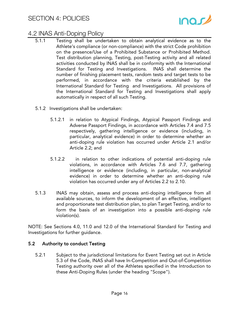

- 5.1.1 Testing shall be undertaken to obtain analytical evidence as to the Athlete's compliance (or non-compliance) with the strict Code prohibition on the presence/Use of a Prohibited Substance or Prohibited Method. Test distribution planning, Testing, post-Testing activity and all related activities conducted by INAS shall be in conformity with the International Standard for Testing and Investigations. INAS shall determine the number of finishing placement tests, random tests and target tests to be performed, in accordance with the criteria established by the International Standard for Testing and Investigations. All provisions of the International Standard for Testing and Investigations shall apply automatically in respect of all such Testing.
- 5.1.2 Investigations shall be undertaken:
	- 5.1.2.1 in relation to Atypical Findings, Atypical Passport Findings and Adverse Passport Findings, in accordance with Articles 7.4 and 7.5 respectively, gathering intelligence or evidence (including, in particular, analytical evidence) in order to determine whether an anti-doping rule violation has occurred under Article 2.1 and/or Article 2.2; and
	- 5.1.2.2 in relation to other indications of potential anti-doping rule violations, in accordance with Articles 7.6 and 7.7, gathering intelligence or evidence (including, in particular, non-analytical evidence) in order to determine whether an anti-doping rule violation has occurred under any of Articles 2.2 to 2.10.
- 5.1.3 INAS may obtain, assess and process anti-doping intelligence from all available sources, to inform the development of an effective, intelligent and proportionate test distribution plan, to plan Target Testing, and/or to form the basis of an investigation into a possible anti-doping rule violation(s).

NOTE: See Sections 4.0, 11.0 and 12.0 of the International Standard for Testing and Investigations for further guidance.

#### 5.2 Authority to conduct Testing

5.2.1 Subject to the jurisdictional limitations for Event Testing set out in Article 5.3 of the Code, INAS shall have In-Competition and Out-of-Competition Testing authority over all of the Athletes specified in the Introduction to these Anti-Doping Rules (under the heading "Scope").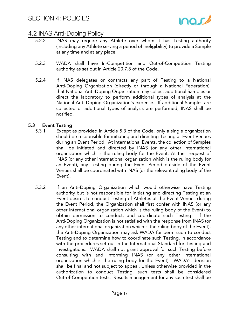

- 5.2.2 INAS may require any Athlete over whom it has Testing authority (including any Athlete serving a period of Ineligibility) to provide a Sample at any time and at any place.
- 5.2.3 WADA shall have In-Competition and Out-of-Competition Testing authority as set out in Article 20.7.8 of the Code.
- 5.2.4 If INAS delegates or contracts any part of Testing to a National Anti-Doping Organization (directly or through a National Federation), that National Anti-Doping Organization may collect additional Samples or direct the laboratory to perform additional types of analysis at the National Anti-Doping Organization's expense. If additional Samples are collected or additional types of analysis are performed, INAS shall be notified.

### 5.3 Event Testing

- 5.3 1 Except as provided in Article 5.3 of the Code, only a single organization should be responsible for initiating and directing Testing at Event Venues during an Event Period. At International Events, the collection of Samples shall be initiated and directed by INAS (or any other international organization which is the ruling body for the Event. At the request of INAS (or any other international organization which is the ruling body for an Event), any Testing during the Event Period outside of the Event Venues shall be coordinated with INAS (or the relevant ruling body of the Event).
- 5.3.2 If an Anti-Doping Organization which would otherwise have Testing authority but is not responsible for initiating and directing Testing at an Event desires to conduct Testing of Athletes at the Event Venues during the Event Period, the Organization shall first confer with INAS (or any other international organization which is the ruling body of the Event) to obtain permission to conduct, and coordinate such Testing. If the Anti-Doping Organization is not satisfied with the response from INAS (or any other international organization which is the ruling body of the Event), the Anti-Doping Organization may ask WADA for permission to conduct Testing and to determine how to coordinate such Testing. in accordance with the procedures set out in the International Standard for Testing and Investigations. WADA shall not grant approval for such Testing before consulting with and informing INAS (or any other international organization which is the ruling body for the Event). WADA's decision shall be final and not subject to appeal. Unless otherwise provided in the authorization to conduct Testing, such tests shall be considered Out-of-Competition tests. Results management for any such test shall be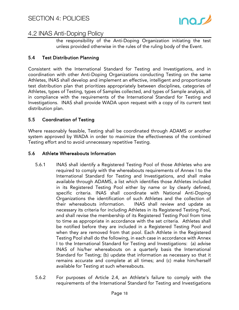

the responsibility of the Anti-Doping Organization initiating the test unless provided otherwise in the rules of the ruling body of the Event.

### 5.4 Test Distribution Planning

Consistent with the International Standard for Testing and Investigations, and in coordination with other Anti-Doping Organizations conducting Testing on the same Athletes, INAS shall develop and implement an effective, intelligent and proportionate test distribution plan that prioritizes appropriately between disciplines, categories of Athletes, types of Testing, types of Samples collected, and types of Sample analysis, all in compliance with the requirements of the International Standard for Testing and Investigations. INAS shall provide WADA upon request with a copy of its current test distribution plan.

#### 5.5 Coordination of Testing

Where reasonably feasible, Testing shall be coordinated through ADAMS or another system approved by WADA in order to maximize the effectiveness of the combined Testing effort and to avoid unnecessary repetitive Testing.

#### 5.6 Athlete Whereabouts Information

- 5.6.1 INAS shall identify a Registered Testing Pool of those Athletes who are required to comply with the whereabouts requirements of Annex I to the International Standard for Testing and Investigations, and shall make available through ADAMS, a list which identifies those Athletes included in its Registered Testing Pool either by name or by clearly defined, specific criteria. INAS shall coordinate with National Anti-Doping Organizations the identification of such Athletes and the collection of their whereabouts information. INAS shall review and update as necessary its criteria for including Athletes in its Registered Testing Pool, and shall revise the membership of its Registered Testing Pool from time to time as appropriate in accordance with the set criteria. Athletes shall be notified before they are included in a Registered Testing Pool and when they are removed from that pool. Each Athlete in the Registered Testing Pool shall do the following, in each case in accordance with Annex I to the International Standard for Testing and Investigations: (a) advise INAS of his/her whereabouts on a quarterly basis the International Standard for Testing; (b) update that information as necessary so that it remains accurate and complete at all times; and (c) make him/herself available for Testing at such whereabouts.
- 5.6.2 For purposes of Article 2.4, an Athlete's failure to comply with the requirements of the International Standard for Testing and Investigations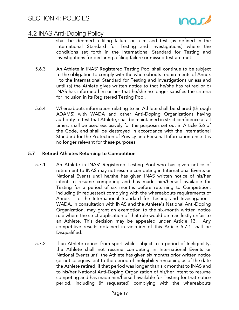

shall be deemed a filing failure or a missed test (as defined in the International Standard for Testing and Investigations) where the conditions set forth in the International Standard for Testing and Investigations for declaring a filing failure or missed test are met.

- 5.6.3 An Athlete in INAS' Registered Testing Pool shall continue to be subject to the obligation to comply with the whereabouts requirements of Annex I to the International Standard for Testing and Investigations unless and until (a) the Athlete gives written notice to that he/she has retired or b) INAS has informed him or her that he/she no longer satisfies the criteria for inclusion in its Registered Testing Pool.
- 5.6.4 Whereabouts information relating to an Athlete shall be shared (through ADAMS) with WADA and other Anti-Doping Organizations having authority to test that Athlete, shall be maintained in strict confidence at all times, shall be used exclusively for the purposes set out in Article 5.6 of the Code, and shall be destroyed in accordance with the International Standard for the Protection of Privacy and Personal Information once it is no longer relevant for these purposes.

### 5.7 Retired Athletes Returning to Competition

- 5.7.1 An Athlete in INAS' Registered Testing Pool who has given notice of retirement to INAS may not resume competing in International Events or National Events until he/she has given INAS written notice of his/her intent to resume competing and has made him/herself available for Testing for a period of six months before returning to Competition, including (if requested) complying with the whereabouts requirements of Annex I to the International Standard for Testing and Investigations. WADA, in consultation with INAS and the Athlete's National Anti-Doping Organization, may grant an exemption to the six-month written notice rule where the strict application of that rule would be manifestly unfair to an Athlete. This decision may be appealed under Article 13. Any competitive results obtained in violation of this Article 5.7.1 shall be Disqualified.
- 5.7.2 If an Athlete retires from sport while subject to a period of Ineligibility, the Athlete shall not resume competing in International Events or National Events until the Athlete has given six months prior written notice (or notice equivalent to the period of Ineligibility remaining as of the date the Athlete retired, if that period was longer than six months) to INAS and to his/her National Anti-Doping Organization of his/her intent to resume competing and has made him/herself available for Testing for that notice period, including (if requested) complying with the whereabouts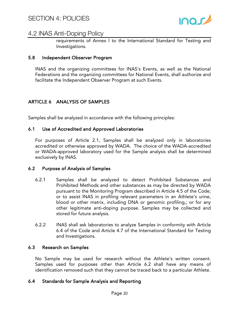

requirements of Annex I to the International Standard for Testing and Investigations.

#### 5.8 Independent Observer Program

INAS and the organizing committees for INAS's Events, as well as the National Federations and the organizing committees for National Events, shall authorize and facilitate the Independent Observer Program at such Events.

### ARTICLE 6 ANALYSIS OF SAMPLES

Samples shall be analyzed in accordance with the following principles:

#### 6.1 Use of Accredited and Approved Laboratories

For purposes of Article 2.1, Samples shall be analyzed only in laboratories accredited or otherwise approved by WADA. The choice of the WADA-accredited or WADA-approved laboratory used for the Sample analysis shall be determined exclusively by INAS.

#### 6.2 Purpose of Analysis of Samples

- 6.2.1 Samples shall be analyzed to detect Prohibited Substances and Prohibited Methods and other substances as may be directed by WADA pursuant to the Monitoring Program described in Article 4.5 of the Code; or to assist INAS in profiling relevant parameters in an Athlete's urine, blood or other matrix, including DNA or genomic profiling,; or for any other legitimate anti-doping purpose. Samples may be collected and stored for future analysis.
- 6.2.2 INAS shall ask laboratories to analyze Samples in conformity with Article 6.4 of the Code and Article 4.7 of the International Standard for Testing and Investigations.

#### 6.3 Research on Samples

No Sample may be used for research without the Athlete's written consent. Samples used for purposes other than Article 6.2 shall have any means of identification removed such that they cannot be traced back to a particular Athlete.

#### 6.4 Standards for Sample Analysis and Reporting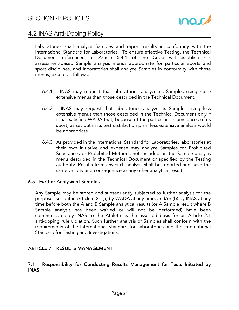

Laboratories shall analyze Samples and report results in conformity with the International Standard for Laboratories. To ensure effective Testing, the Technical Document referenced at Article 5.4.1 of the Code will establish risk assessment-based Sample analysis menus appropriate for particular sports and sport disciplines, and laboratories shall analyze Samples in conformity with those menus, except as follows:

- 6.4.1 INAS may request that laboratories analyze its Samples using more extensive menus than those described in the Technical Document.
- 6.4.2 INAS may request that laboratories analyze its Samples using less extensive menus than those described in the Technical Document only if it has satisfied WADA that, because of the particular circumstances of its sport, as set out in its test distribution plan, less extensive analysis would be appropriate.
- 6.4.3 As provided in the International Standard for Laboratories, laboratories at their own initiative and expense may analyze Samples for Prohibited Substances or Prohibited Methods not included on the Sample analysis menu described in the Technical Document or specified by the Testing authority. Results from any such analysis shall be reported and have the same validity and consequence as any other analytical result.

#### 6.5 Further Analysis of Samples

Any Sample may be stored and subsequently subjected to further analysis for the purposes set out in Article 6.2: (a) by WADA at any time; and/or (b) by INAS at any time before both the A and B Sample analytical results (or A Sample result where B Sample analysis has been waived or will not be performed) have been communicated by INAS to the Athlete as the asserted basis for an Article 2.1 anti-doping rule violation. Such further analysis of Samples shall conform with the requirements of the International Standard for Laboratories and the International Standard for Testing and Investigations.

#### ARTICLE 7 RESULTS MANAGEMENT

#### 7.1 Responsibility for Conducting Results Management for Tests Initiated by INAS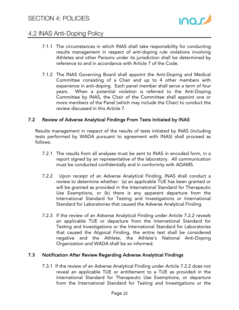

- 7.1.1 The circumstances in which INAS shall take responsibility for conducting results management in respect of anti-doping rule violations involving Athletes and other Persons under its jurisdiction shall be determined by reference to and in accordance with Article 7 of the Code.
- 7.1.2 The INAS Governing Board shall appoint the Anti-Doping and Medical Committee consisting of a Chair and up to 4 other members with experience in anti-doping. Each panel member shall serve a term of four years. When a potential violation is referred to the Anti-Doping Committee by INAS, the Chair of the Committee shall appoint one or more members of the Panel (which may include the Chair) to conduct the review discussed in this Article 7.

#### 7.2 Review of Adverse Analytical Findings From Tests Initiated by INAS

Results management in respect of the results of tests initiated by INAS (including tests performed by WADA pursuant to agreement with INAS) shall proceed as follows:

- 7.2.1 The results from all analyses must be sent to INAS in encoded form, in a report signed by an representative of the laboratory. All communication must be conducted confidentially and in conformity with ADAMS.
- 7.2.2 Upon receipt of an Adverse Analytical Finding, INAS shall conduct a review to determine whether: (a) an applicable TUE has been granted or will be granted as provided in the International Standard for Therapeutic Use Exemptions, or (b) there is any apparent departure from the International Standard for Testing and Investigations or International Standard for Laboratories that caused the Adverse Analytical Finding.
- 7.2.3 If the review of an Adverse Analytical Finding under Article 7.2.2 reveals an applicable TUE or departure from the International Standard for Testing and Investigations or the International Standard for Laboratories that caused the Atypical Finding, the entire test shall be considered negative and the Athlete, the Athlete's National Anti-Doping Organization and WADA shall be so informed.

#### 7.3 Notification After Review Regarding Adverse Analytical Findings

7.3.1 If the review of an Adverse Analytical Finding under Article 7.2.2 does not reveal an applicable TUE or entitlement to a TUE as provided in the International Standard for Therapeutic Use Exemptions, or departure from the International Standard for Testing and Investigations or the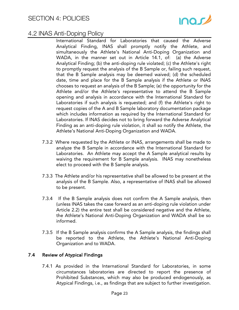

International Standard for Laboratories that caused the Adverse Analytical Finding, INAS shall promptly notify the Athlete, and simultaneously the Athlete's National Anti-Doping Organization and WADA, in the manner set out in Article 14.1, of: (a) the Adverse Analytical Finding; (b) the anti-doping rule violated; (c) the Athlete's right to promptly request the analysis of the B Sample or, failing such request, that the B Sample analysis may be deemed waived; (d) the scheduled date, time and place for the B Sample analysis if the Athlete or INAS chooses to request an analysis of the B Sample; (e) the opportunity for the Athlete and/or the Athlete's representative to attend the B Sample opening and analysis in accordance with the International Standard for Laboratories if such analysis is requested; and (f) the Athlete's right to request copies of the A and B Sample laboratory documentation package which includes information as required by the International Standard for Laboratories. If INAS decides not to bring forward the Adverse Analytical Finding as an anti-doping rule violation, it shall so notify the Athlete, the Athlete's National Anti-Doping Organization and WADA.

- 7.3.2 Where requested by the Athlete or INAS, arrangements shall be made to analyze the B Sample in accordance with the International Standard for Laboratories. An Athlete may accept the A Sample analytical results by waiving the requirement for B Sample analysis. INAS may nonetheless elect to proceed with the B Sample analysis.
- 7.3.3 The Athlete and/or his representative shall be allowed to be present at the analysis of the B Sample. Also, a representative of INAS shall be allowed to be present.
- 7.3.4 If the B Sample analysis does not confirm the A Sample analysis, then (unless INAS takes the case forward as an anti-doping rule violation under Article 2.2) the entire test shall be considered negative and the Athlete, the Athlete's National Anti-Doping Organization and WADA shall be so informed.
- 7.3.5 If the B Sample analysis confirms the A Sample analysis, the findings shall be reported to the Athlete, the Athlete's National Anti-Doping Organization and to WADA.

#### 7.4 Review of Atypical Findings

7.4.1 As provided in the International Standard for Laboratories, in some circumstances laboratories are directed to report the presence of Prohibited Substances, which may also be produced endogenously, as Atypical Findings, i.e., as findings that are subject to further investigation.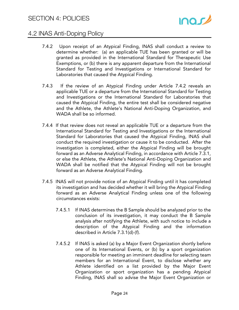

- 7.4.2 Upon receipt of an Atypical Finding, INAS shall conduct a review to determine whether: (a) an applicable TUE has been granted or will be granted as provided in the International Standard for Therapeutic Use Exemptions, or (b) there is any apparent departure from the International Standard for Testing and Investigations or International Standard for Laboratories that caused the Atypical Finding.
- 7.4.3 If the review of an Atypical Finding under Article 7.4.2 reveals an applicable TUE or a departure from the International Standard for Testing and Investigations or the International Standard for Laboratories that caused the Atypical Finding, the entire test shall be considered negative and the Athlete, the Athlete's National Anti-Doping Organization, and WADA shall be so informed.
- 7.4.4 If that review does not reveal an applicable TUE or a departure from the International Standard for Testing and Investigations or the International Standard for Laboratories that caused the Atypical Finding, INAS shall conduct the required investigation or cause it to be conducted. After the investigation is completed, either the Atypical Finding will be brought forward as an Adverse Analytical Finding, in accordance with Article 7.3.1, or else the Athlete, the Athlete's National Anti-Doping Organization and WADA shall be notified that the Atypical Finding will not be brought forward as an Adverse Analytical Finding.
- 7.4.5 INAS will not provide notice of an Atypical Finding until it has completed its investigation and has decided whether it will bring the Atypical Finding forward as an Adverse Analytical Finding unless one of the following circumstances exists:
	- 7.4.5.1 If INAS determines the B Sample should be analyzed prior to the conclusion of its investigation, it may conduct the B Sample analysis after notifying the Athlete, with such notice to include a description of the Atypical Finding and the information described in Article 7.3.1(d)-(f).
	- 7.4.5.2 If INAS is asked (a) by a Major Event Organization shortly before one of its International Events, or (b) by a sport organization responsible for meeting an imminent deadline for selecting team members for an International Event, to disclose whether any Athlete identified on a list provided by the Major Event Organization or sport organization has a pending Atypical Finding, INAS shall so advise the Major Event Organization or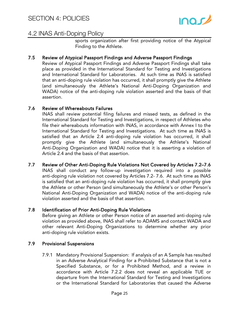

sports organization after first providing notice of the Atypical Finding to the Athlete.

#### 7.5 Review of Atypical Passport Findings and Adverse Passport Findings

Review of Atypical Passport Findings and Adverse Passport Findings shall take place as provided in the International Standard for Testing and Investigations and International Standard for Laboratories. At such time as INAS is satisfied that an anti-doping rule violation has occurred, it shall promptly give the Athlete (and simultaneously the Athlete's National Anti-Doping Organization and WADA) notice of the anti-doping rule violation asserted and the basis of that assertion.

#### 7.6 Review of Whereabouts Failures

INAS shall review potential filing failures and missed tests, as defined in the International Standard for Testing and Investigations, in respect of Athletes who file their whereabouts information with INAS, in accordance with Annex I to the International Standard for Testing and Investigations. At such time as INAS is satisfied that an Article 2.4 anti-doping rule violation has occurred, it shall promptly give the Athlete (and simultaneously the Athlete's National Anti-Doping Organization and WADA) notice that it is asserting a violation of Article 2.4 and the basis of that assertion.

7.7 Review of Other Anti-Doping Rule Violations Not Covered by Articles 7.2–7.6 INAS shall conduct any follow-up investigation required into a possible anti-doping rule violation not covered by Articles 7.2- 7.6. At such time as INAS is satisfied that an anti-doping rule violation has occurred, it shall promptly give the Athlete or other Person (and simultaneously the Athlete's or other Person's National Anti-Doping Organization and WADA) notice of the anti-doping rule violation asserted and the basis of that assertion.

#### 7.8 Identification of Prior Anti-Doping Rule Violations

Before giving an Athlete or other Person notice of an asserted anti-doping rule violation as provided above, INAS shall refer to ADAMS and contact WADA and other relevant Anti-Doping Organizations to determine whether any prior anti-doping rule violation exists.

### 7.9 Provisional Suspensions

7.9.1 Mandatory Provisional Suspension: If analysis of an A Sample has resulted in an Adverse Analytical Finding for a Prohibited Substance that is not a Specified Substance, or for a Prohibited Method, and a review in accordance with Article 7.2.2 does not reveal an applicable TUE or departure from the International Standard for Testing and Investigations or the International Standard for Laboratories that caused the Adverse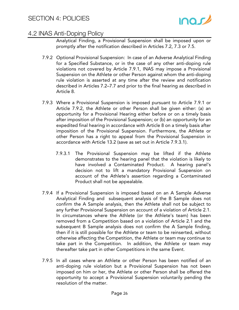

Analytical Finding, a Provisional Suspension shall be imposed upon or promptly after the notification described in Articles 7.2, 7.3 or 7.5.

- 7.9.2 Optional Provisional Suspension: In case of an Adverse Analytical Finding for a Specified Substance, or in the case of any other anti-doping rule violations not covered by Article 7.9.1, INAS may impose a Provisional Suspension on the Athlete or other Person against whom the anti-doping rule violation is asserted at any time after the review and notification described in Articles 7.2–7.7 and prior to the final hearing as described in Article 8.
- 7.9.3 Where a Provisional Suspension is imposed pursuant to Article 7.9.1 or Article 7.9.2, the Athlete or other Person shall be given either: (a) an opportunity for a Provisional Hearing either before or on a timely basis after imposition of the Provisional Suspension; or (b) an opportunity for an expedited final hearing in accordance with Article 8 on a timely basis after imposition of the Provisional Suspension. Furthermore, the Athlete or other Person has a right to appeal from the Provisional Suspension in accordance with Article 13.2 (save as set out in Article 7.9.3.1).
	- 7.9.3.1 The Provisional Suspension may be lifted if the Athlete demonstrates to the hearing panel that the violation is likely to have involved a Contaminated Product. A hearing panel's decision not to lift a mandatory Provisional Suspension on account of the Athlete's assertion regarding a Contaminated Product shall not be appealable.
- 7.9.4 If a Provisional Suspension is imposed based on an A Sample Adverse Analytical Finding and subsequent analysis of the B Sample does not confirm the A Sample analysis, then the Athlete shall not be subject to any further Provisional Suspension on account of a violation of Article 2.1. In circumstances where the Athlete (or the Athlete's team) has been removed from a Competition based on a violation of Article 2.1 and the subsequent B Sample analysis does not confirm the A Sample finding, then if it is still possible for the Athlete or team to be reinserted, without otherwise affecting the Competition, the Athlete or team may continue to take part in the Competition. In addition, the Athlete or team may thereafter take part in other Competitions in the same Event.
- 7.9.5 In all cases where an Athlete or other Person has been notified of an anti-doping rule violation but a Provisional Suspension has not been imposed on him or her, the Athlete or other Person shall be offered the opportunity to accept a Provisional Suspension voluntarily pending the resolution of the matter.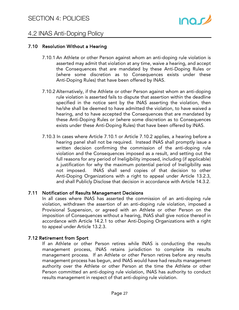

#### 7.10 Resolution Without a Hearing

- 7.10.1 An Athlete or other Person against whom an anti-doping rule violation is asserted may admit that violation at any time, waive a hearing, and accept the Consequences that are mandated by these Anti-Doping Rules or (where some discretion as to Consequences exists under these Anti-Doping Rules) that have been offered by INAS.
- 7.10.2 Alternatively, if the Athlete or other Person against whom an anti-doping rule violation is asserted fails to dispute that assertion within the deadline specified in the notice sent by the INAS asserting the violation, then he/she shall be deemed to have admitted the violation, to have waived a hearing, and to have accepted the Consequences that are mandated by these Anti-Doping Rules or (where some discretion as to Consequences exists under these Anti-Doping Rules) that have been offered by INAS.
- 7.10.3 In cases where Article 7.10.1 or Article 7.10.2 applies, a hearing before a hearing panel shall not be required. Instead INAS shall promptly issue a written decision confirming the commission of the anti-doping rule violation and the Consequences imposed as a result, and setting out the full reasons for any period of Ineligibility imposed, including (if applicable) a justification for why the maximum potential period of Ineligibility was not imposed. INAS shall send copies of that decision to other Anti-Doping Organizations with a right to appeal under Article 13.2.3, and shall Publicly Disclose that decision in accordance with Article 14.3.2.

#### 7.11 Notification of Results Management Decisions

In all cases where INAS has asserted the commission of an anti-doping rule violation, withdrawn the assertion of an anti-doping rule violation, imposed a Provisional Suspension, or agreed with an Athlete or other Person on the imposition of Consequences without a hearing, INAS shall give notice thereof in accordance with Article 14.2.1 to other Anti-Doping Organizations with a right to appeal under Article 13.2.3.

#### 7.12 Retirement from Sport

If an Athlete or other Person retires while INAS is conducting the results management process, INAS retains jurisdiction to complete its results management process. If an Athlete or other Person retires before any results management process has begun, and INAS would have had results management authority over the Athlete or other Person at the time the Athlete or other Person committed an anti-doping rule violation, INAS has authority to conduct results management in respect of that anti-doping rule violation.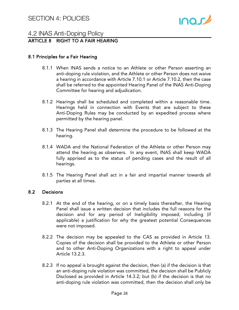

### ARTICLE 8 RIGHT TO A FAIR HEARING

#### 8.1 Principles for a Fair Hearing

- 8.1.1 When INAS sends a notice to an Athlete or other Person asserting an anti-doping rule violation, and the Athlete or other Person does not waive a hearing in accordance with Article 7.10.1 or Article 7.10.2, then the case shall be referred to the appointed Hearing Panel of the INAS Anti-Doping Committee for hearing and adjudication.
- 8.1.2 Hearings shall be scheduled and completed within a reasonable time. Hearings held in connection with Events that are subject to these Anti-Doping Rules may be conducted by an expedited process where permitted by the hearing panel.
- 8.1.3 The Hearing Panel shall determine the procedure to be followed at the hearing.
- 8.1.4 WADA and the National Federation of the Athlete or other Person may attend the hearing as observers. In any event, INAS shall keep WADA fully apprised as to the status of pending cases and the result of all hearings.
- 8.1.5 The Hearing Panel shall act in a fair and impartial manner towards all parties at all times.

#### 8.2 Decisions

- 8.2.1 At the end of the hearing, or on a timely basis thereafter, the Hearing Panel shall issue a written decision that includes the full reasons for the decision and for any period of Ineligibility imposed, including (if applicable) a justification for why the greatest potential Consequences were not imposed.
- 8.2.2 The decision may be appealed to the CAS as provided in Article 13. Copies of the decision shall be provided to the Athlete or other Person and to other Anti-Doping Organizations with a right to appeal under Article 13.2.3.
- 8.2.3 If no appeal is brought against the decision, then (a) if the decision is that an anti-doping rule violation was committed, the decision shall be Publicly Disclosed as provided in Article 14.3.2; but (b) if the decision is that no anti-doping rule violation was committed, then the decision shall only be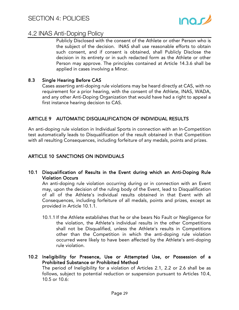

Publicly Disclosed with the consent of the Athlete or other Person who is the subject of the decision. INAS shall use reasonable efforts to obtain such consent, and if consent is obtained, shall Publicly Disclose the decision in its entirety or in such redacted form as the Athlete or other Person may approve. The principles contained at Article 14.3.6 shall be applied in cases involving a Minor.

### 8.3 Single Hearing Before CAS

Cases asserting anti-doping rule violations may be heard directly at CAS, with no requirement for a prior hearing, with the consent of the Athlete, INAS, WADA, and any other Anti-Doping Organization that would have had a right to appeal a first instance hearing decision to CAS.

### ARTICLE 9 AUTOMATIC DISQUALIFICATION OF INDIVIDUAL RESULTS

An anti-doping rule violation in Individual Sports in connection with an In-Competition test automatically leads to Disqualification of the result obtained in that Competition with all resulting Consequences, including forfeiture of any medals, points and prizes.

### ARTICLE 10 SANCTIONS ON INDIVIDUALS

10.1 Disqualification of Results in the Event during which an Anti-Doping Rule Violation Occurs

An anti-doping rule violation occurring during or in connection with an Event may, upon the decision of the ruling body of the Event, lead to Disqualification of all of the Athlete's individual results obtained in that Event with all Consequences, including forfeiture of all medals, points and prizes, except as provided in Article 10.1.1.

- 10.1.1 If the Athlete establishes that he or she bears No Fault or Negligence for the violation, the Athlete's individual results in the other Competitions shall not be Disqualified, unless the Athlete's results in Competitions other than the Competition in which the anti-doping rule violation occurred were likely to have been affected by the Athlete's anti-doping rule violation.
- 10.2 Ineligibility for Presence, Use or Attempted Use, or Possession of a Prohibited Substance or Prohibited Method

The period of Ineligibility for a violation of Articles 2.1, 2.2 or 2.6 shall be as follows, subject to potential reduction or suspension pursuant to Articles 10.4, 10.5 or 10.6: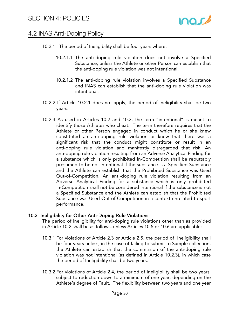

- 10.2.1 The period of Ineligibility shall be four years where:
	- 10.2.1.1 The anti-doping rule violation does not involve a Specified Substance, unless the Athlete or other Person can establish that the anti-doping rule violation was not intentional.
	- 10.2.1.2 The anti-doping rule violation involves a Specified Substance and INAS can establish that the anti-doping rule violation was intentional.
- 10.2.2 If Article 10.2.1 does not apply, the period of Ineligibility shall be two years.
- 10.2.3 As used in Articles 10.2 and 10.3, the term "intentional" is meant to identify those Athletes who cheat. The term therefore requires that the Athlete or other Person engaged in conduct which he or she knew constituted an anti-doping rule violation or knew that there was a significant risk that the conduct might constitute or result in an anti-doping rule violation and manifestly disregarded that risk. An anti-doping rule violation resulting from an Adverse Analytical Finding for a substance which is only prohibited In-Competition shall be rebuttably presumed to be not intentional if the substance is a Specified Substance and the Athlete can establish that the Prohibited Substance was Used Out-of-Competition. An anti-doping rule violation resulting from an Adverse Analytical Finding for a substance which is only prohibited In-Competition shall not be considered intentional if the substance is not a Specified Substance and the Athlete can establish that the Prohibited Substance was Used Out-of-Competition in a context unrelated to sport performance.

#### 10.3 Ineligibility for Other Anti-Doping Rule Violations

The period of Ineligibility for anti-doping rule violations other than as provided in Article 10.2 shall be as follows, unless Articles 10.5 or 10.6 are applicable:

- 10.3.1 For violations of Article 2.3 or Article 2.5, the period of Ineligibility shall be four years unless, in the case of failing to submit to Sample collection, the Athlete can establish that the commission of the anti-doping rule violation was not intentional (as defined in Article 10.2.3), in which case the period of Ineligibility shall be two years.
- 10.3.2 For violations of Article 2.4, the period of Ineligibility shall be two years, subject to reduction down to a minimum of one year, depending on the Athlete's degree of Fault. The flexibility between two years and one year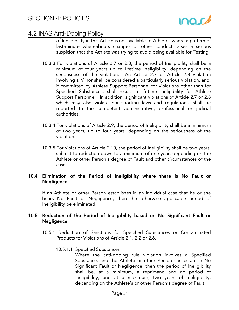

of Ineligibility in this Article is not available to Athletes where a pattern of last-minute whereabouts changes or other conduct raises a serious suspicion that the Athlete was trying to avoid being available for Testing.

- 10.3.3 For violations of Article 2.7 or 2.8, the period of Ineligibility shall be a minimum of four years up to lifetime Ineligibility, depending on the seriousness of the violation. An Article 2.7 or Article 2.8 violation involving a Minor shall be considered a particularly serious violation, and, if committed by Athlete Support Personnel for violations other than for Specified Substances, shall result in lifetime Ineligibility for Athlete Support Personnel. In addition, significant violations of Article 2.7 or 2.8 which may also violate non-sporting laws and regulations, shall be reported to the competent administrative, professional or judicial authorities.
- 10.3.4 For violations of Article 2.9, the period of Ineligibility shall be a minimum of two years, up to four years, depending on the seriousness of the violation.
- 10.3.5 For violations of Article 2.10, the period of Ineligibility shall be two years, subject to reduction down to a minimum of one year, depending on the Athlete or other Person's degree of Fault and other circumstances of the case.

### 10.4 Elimination of the Period of Ineligibility where there is No Fault or **Negligence**

If an Athlete or other Person establishes in an individual case that he or she bears No Fault or Negligence, then the otherwise applicable period of Ineligibility be eliminated.

#### 10.5 Reduction of the Period of Ineligibility based on No Significant Fault or Negligence

- 10.5.1 Reduction of Sanctions for Specified Substances or Contaminated Products for Violations of Article 2.1, 2.2 or 2.6.
	- 10.5.1.1 Specified Substances

Where the anti-doping rule violation involves a Specified Substance, and the Athlete or other Person can establish No Significant Fault or Negligence, then the period of Ineligibility shall be, at a minimum, a reprimand and no period of Ineligibility, and at a maximum, two years of Ineligibility, depending on the Athlete's or other Person's degree of Fault.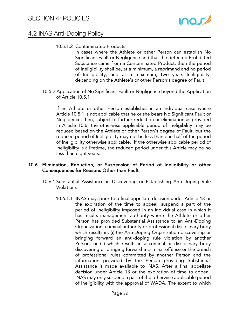

10.5.1.2 Contaminated Products

In cases where the Athlete or other Person can establish No Significant Fault or Negligence and that the detected Prohibited Substance came from a Contaminated Product, then the period of Ineligibility shall be, at a minimum, a reprimand and no period of Ineligibility, and at a maximum, two years Ineligibility, depending on the Athlete's or other Person's degree of Fault.

10.5.2 Application of No Significant Fault or Negligence beyond the Application of Article 10.5.1

If an Athlete or other Person establishes in an individual case where Article 10.5.1 is not applicable that he or she bears No Significant Fault or Negligence, then, subject to further reduction or elimination as provided in Article 10.6, the otherwise applicable period of Ineligibility may be reduced based on the Athlete or other Person's degree of Fault, but the reduced period of Ineligibility may not be less than one-half of the period of Ineligibility otherwise applicable. If the otherwise applicable period of Ineligibility is a lifetime, the reduced period under this Article may be no less than eight years.

#### 10.6 Elimination, Reduction, or Suspension of Period of Ineligibility or other Consequences for Reasons Other than Fault

- 10.6.1 Substantial Assistance in Discovering or Establishing Anti-Doping Rule Violations
	- 10.6.1.1 INAS may, prior to a final appellate decision under Article 13 or the expiration of the time to appeal, suspend a part of the period of Ineligibility imposed in an individual case in which it has results management authority where the Athlete or other Person has provided Substantial Assistance to an Anti-Doping Organization, criminal authority or professional disciplinary body which results in: (i) the Anti-Doping Organization discovering or bringing forward an anti-doping rule violation by another Person, or (ii) which results in a criminal or disciplinary body discovering or bringing forward a criminal offense or the breach of professional rules committed by another Person and the information provided by the Person providing Substantial Assistance is made available to INAS. After a final appellate decision under Article 13 or the expiration of time to appeal, INAS may only suspend a part of the otherwise applicable period of Ineligibility with the approval of WADA. The extent to which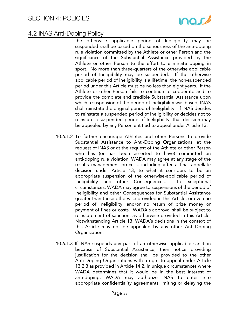

the otherwise applicable period of Ineligibility may be suspended shall be based on the seriousness of the anti-doping rule violation committed by the Athlete or other Person and the significance of the Substantial Assistance provided by the Athlete or other Person to the effort to eliminate doping in sport. No more than three-quarters of the otherwise applicable period of Ineligibility may be suspended. If the otherwise applicable period of Ineligibility is a lifetime, the non-suspended period under this Article must be no less than eight years. If the Athlete or other Person fails to continue to cooperate and to provide the complete and credible Substantial Assistance upon which a suspension of the period of Ineligibility was based, INAS shall reinstate the original period of Ineligibility. If INAS decides to reinstate a suspended period of Ineligibility or decides not to reinstate a suspended period of Ineligibility, that decision may be appealed by any Person entitled to appeal under Article 13.

- 10.6.1.2 To further encourage Athletes and other Persons to provide Substantial Assistance to Anti-Doping Organizations, at the request of INAS or at the request of the Athlete or other Person who has (or has been asserted to have) committed an anti-doping rule violation, WADA may agree at any stage of the results management process, including after a final appellate decision under Article 13, to what it considers to be an appropriate suspension of the otherwise-applicable period of Ineligibility and other Consequences. In exceptional circumstances, WADA may agree to suspensions of the period of Ineligibility and other Consequences for Substantial Assistance greater than those otherwise provided in this Article, or even no period of Ineligibility, and/or no return of prize money or payment of fines or costs. WADA's approval shall be subject to reinstatement of sanction, as otherwise provided in this Article. Notwithstanding Article 13, WADA's decisions in the context of this Article may not be appealed by any other Anti-Doping Organization.
- 10.6.1.3 If INAS suspends any part of an otherwise applicable sanction because of Substantial Assistance, then notice providing justification for the decision shall be provided to the other Anti-Doping Organizations with a right to appeal under Article 13.2.3 as provided in Article 14.2. In unique circumstances where WADA determines that it would be in the best interest of anti-doping, WADA may authorize INAS to enter into appropriate confidentiality agreements limiting or delaying the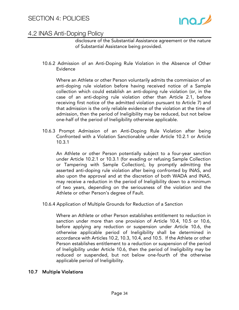

disclosure of the Substantial Assistance agreement or the nature of Substantial Assistance being provided.

10.6.2 Admission of an Anti-Doping Rule Violation in the Absence of Other Evidence

Where an Athlete or other Person voluntarily admits the commission of an anti-doping rule violation before having received notice of a Sample collection which could establish an anti-doping rule violation (or, in the case of an anti-doping rule violation other than Article 2.1, before receiving first notice of the admitted violation pursuant to Article 7) and that admission is the only reliable evidence of the violation at the time of admission, then the period of Ineligibility may be reduced, but not below one-half of the period of Ineligibility otherwise applicable.

10.6.3 Prompt Admission of an Anti-Doping Rule Violation after being Confronted with a Violation Sanctionable under Article 10.2.1 or Article 10.3.1

An Athlete or other Person potentially subject to a four-year sanction under Article 10.2.1 or 10.3.1 (for evading or refusing Sample Collection or Tampering with Sample Collection), by promptly admitting the asserted anti-doping rule violation after being confronted by INAS, and also upon the approval and at the discretion of both WADA and INAS, may receive a reduction in the period of Ineligibility down to a minimum of two years, depending on the seriousness of the violation and the Athlete or other Person's degree of Fault.

10.6.4 Application of Multiple Grounds for Reduction of a Sanction

Where an Athlete or other Person establishes entitlement to reduction in sanction under more than one provision of Article 10.4, 10.5 or 10.6, before applying any reduction or suspension under Article 10.6, the otherwise applicable period of Ineligibility shall be determined in accordance with Articles 10.2, 10.3, 10.4, and 10.5. If the Athlete or other Person establishes entitlement to a reduction or suspension of the period of Ineligibility under Article 10.6, then the period of Ineligibility may be reduced or suspended, but not below one-fourth of the otherwise applicable period of Ineligibility.

#### 10.7 Multiple Violations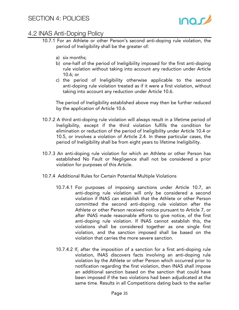

- 10.7.1 For an Athlete or other Person's second anti-doping rule violation, the period of Ineligibility shall be the greater of:
	- a) six months;
	- b) one-half of the period of Ineligibility imposed for the first anti-doping rule violation without taking into account any reduction under Article 10.6; or
	- c) the period of Ineligibility otherwise applicable to the second anti-doping rule violation treated as if it were a first violation, without taking into account any reduction under Article 10.6.

The period of Ineligibility established above may then be further reduced by the application of Article 10.6.

- 10.7.2 A third anti-doping rule violation will always result in a lifetime period of Ineligibility, except if the third violation fulfills the condition for elimination or reduction of the period of Ineligibility under Article 10.4 or 10.5, or involves a violation of Article 2.4. In these particular cases, the period of Ineligibility shall be from eight years to lifetime Ineligibility.
- 10.7.3 An anti-doping rule violation for which an Athlete or other Person has established No Fault or Negligence shall not be considered a prior violation for purposes of this Article.
- 10.7.4 Additional Rules for Certain Potential Multiple Violations
	- 10.7.4.1 For purposes of imposing sanctions under Article 10.7, an anti-doping rule violation will only be considered a second violation if INAS can establish that the Athlete or other Person committed the second anti-doping rule violation after the Athlete or other Person received notice pursuant to Article 7, or after INAS made reasonable efforts to give notice, of the first anti-doping rule violation. If INAS cannot establish this, the violations shall be considered together as one single first violation, and the sanction imposed shall be based on the violation that carries the more severe sanction.
	- 10.7.4.2 If, after the imposition of a sanction for a first anti-doping rule violation, INAS discovers facts involving an anti-doping rule violation by the Athlete or other Person which occurred prior to notification regarding the first violation, then INAS shall impose an additional sanction based on the sanction that could have been imposed if the two violations had been adjudicated at the same time. Results in all Competitions dating back to the earlier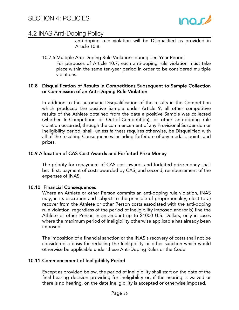

anti-doping rule violation will be Disqualified as provided in Article 10.8.

10.7.5 Multiple Anti-Doping Rule Violations during Ten-Year Period For purposes of Article 10.7, each anti-doping rule violation must take place within the same ten-year period in order to be considered multiple violations.

#### 10.8 Disqualification of Results in Competitions Subsequent to Sample Collection or Commission of an Anti-Doping Rule Violation

In addition to the automatic Disqualification of the results in the Competition which produced the positive Sample under Article 9, all other competitive results of the Athlete obtained from the date a positive Sample was collected (whether In-Competition or Out-of-Competition), or other anti-doping rule violation occurred, through the commencement of any Provisional Suspension or Ineligibility period, shall, unless fairness requires otherwise, be Disqualified with all of the resulting Consequences including forfeiture of any medals, points and prizes.

### 10.9 Allocation of CAS Cost Awards and Forfeited Prize Money

The priority for repayment of CAS cost awards and forfeited prize money shall be: first, payment of costs awarded by CAS; and second, reimbursement of the expenses of INAS.

#### 10.10 Financial Consequences

Where an Athlete or other Person commits an anti-doping rule violation, INAS may, in its discretion and subject to the principle of proportionality, elect to a) recover from the Athlete or other Person costs associated with the anti-doping rule violation, regardless of the period of Ineligibility imposed and/or b) fine the Athlete or other Person in an amount up to \$1000 U.S. Dollars, only in cases where the maximum period of Ineligibility otherwise applicable has already been imposed.

The imposition of a financial sanction or the INAS's recovery of costs shall not be considered a basis for reducing the Ineligibility or other sanction which would otherwise be applicable under these Anti-Doping Rules or the Code.

#### 10.11 Commencement of Ineligibility Period

Except as provided below, the period of Ineligibility shall start on the date of the final hearing decision providing for Ineligibility or, if the hearing is waived or there is no hearing, on the date Ineligibility is accepted or otherwise imposed.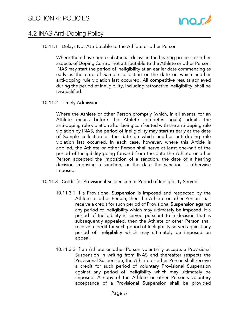

#### 10.11.1 Delays Not Attributable to the Athlete or other Person

Where there have been substantial delays in the hearing process or other aspects of Doping Control not attributable to the Athlete or other Person, INAS may start the period of Ineligibility at an earlier date commencing as early as the date of Sample collection or the date on which another anti-doping rule violation last occurred. All competitive results achieved during the period of Ineligibility, including retroactive Ineligibility, shall be Disqualified.

10.11.2 Timely Admission

Where the Athlete or other Person promptly (which, in all events, for an Athlete means before the Athlete competes again) admits the anti-doping rule violation after being confronted with the anti-doping rule violation by INAS, the period of Ineligibility may start as early as the date of Sample collection or the date on which another anti-doping rule violation last occurred. In each case, however, where this Article is applied, the Athlete or other Person shall serve at least one-half of the period of Ineligibility going forward from the date the Athlete or other Person accepted the imposition of a sanction, the date of a hearing decision imposing a sanction, or the date the sanction is otherwise imposed.

- 10.11.3 Credit for Provisional Suspension or Period of Ineligibility Served
	- 10.11.3.1 If a Provisional Suspension is imposed and respected by the Athlete or other Person, then the Athlete or other Person shall receive a credit for such period of Provisional Suspension against any period of Ineligibility which may ultimately be imposed. If a period of Ineligibility is served pursuant to a decision that is subsequently appealed, then the Athlete or other Person shall receive a credit for such period of Ineligibility served against any period of Ineligibility which may ultimately be imposed on appeal.
	- 10.11.3.2 If an Athlete or other Person voluntarily accepts a Provisional Suspension in writing from INAS and thereafter respects the Provisional Suspension, the Athlete or other Person shall receive a credit for such period of voluntary Provisional Suspension against any period of Ineligibility which may ultimately be imposed. A copy of the Athlete or other Person's voluntary acceptance of a Provisional Suspension shall be provided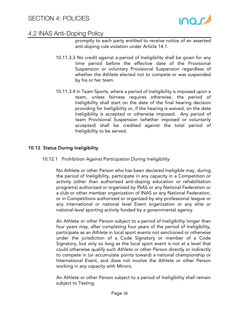

promptly to each party entitled to receive notice of an asserted anti-doping rule violation under Article 14.1.

- 10.11.3.3 No credit against a period of Ineligibility shall be given for any time period before the effective date of the Provisional Suspension or voluntary Provisional Suspension regardless of whether the Athlete elected not to compete or was suspended by his or her team.
- 10.11.3.4 In Team Sports, where a period of Ineligibility is imposed upon a team, unless fairness requires otherwise, the period of Ineligibility shall start on the date of the final hearing decision providing for Ineligibility or, if the hearing is waived, on the date Ineligibility is accepted or otherwise imposed. Any period of team Provisional Suspension (whether imposed or voluntarily accepted) shall be credited against the total period of Ineligibility to be served.

#### 10.12 Status During Ineligibility

10.12.1 Prohibition Against Participation During Ineligibility

No Athlete or other Person who has been declared Ineligible may, during the period of Ineligibility, participate in any capacity in a Competition or activity (other than authorized anti-doping education or rehabilitation programs) authorized or organized by INAS or any National Federation or a club or other member organization of INAS or any National Federation, or in Competitions authorized or organized by any professional league or any international or national level Event organization or any elite or national-level sporting activity funded by a governmental agency.

An Athlete or other Person subject to a period of Ineligibility longer than four years may, after completing four years of the period of Ineligibility, participate as an Athlete in local sport events not sanctioned or otherwise under the jurisdiction of a Code Signatory or member of a Code Signatory, but only so long as the local sport event is not at a level that could otherwise qualify such Athlete or other Person directly or indirectly to compete in (or accumulate points toward) a national championship or International Event, and does not involve the Athlete or other Person working in any capacity with Minors.

An Athlete or other Person subject to a period of Ineligibility shall remain subject to Testing.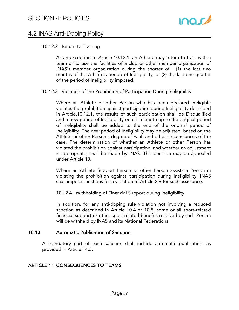

#### 10.12.2 Return to Training

As an exception to Article 10.12.1, an Athlete may return to train with a team or to use the facilities of a club or other member organization of INAS's member organization during the shorter of: (1) the last two months of the Athlete's period of Ineligibility, or (2) the last one-quarter of the period of Ineligibility imposed.

10.12.3 Violation of the Prohibition of Participation During Ineligibility

Where an Athlete or other Person who has been declared Ineligible violates the prohibition against participation during Ineligibility described in Article,10.12.1, the results of such participation shall be Disqualified and a new period of Ineligibility equal in length up to the original period of Ineligibility shall be added to the end of the original period of Ineligibility. The new period of Ineligibility may be adjusted based on the Athlete or other Person's degree of Fault and other circumstances of the case. The determination of whether an Athlete or other Person has violated the prohibition against participation, and whether an adjustment is appropriate, shall be made by INAS. This decision may be appealed under Article 13.

Where an Athlete Support Person or other Person assists a Person in violating the prohibition against participation during Ineligibility, INAS shall impose sanctions for a violation of Article 2.9 for such assistance.

10.12.4 Withholding of Financial Support during Ineligibility

In addition, for any anti-doping rule violation not involving a reduced sanction as described in Article 10.4 or 10.5, some or all sport-related financial support or other sport-related benefits received by such Person will be withheld by INAS and its National Federations.

#### 10.13 Automatic Publication of Sanction

A mandatory part of each sanction shall include automatic publication, as provided in Article 14.3.

#### ARTICLE 11 CONSEQUENCES TO TEAMS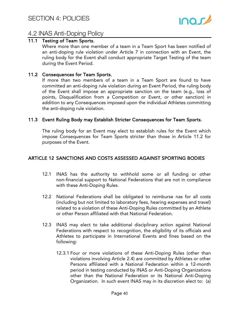

### 11.1 Testing of Team Sports.

Where more than one member of a team in a Team Sport has been notified of an anti-doping rule violation under Article 7 in connection with an Event, the ruling body for the Event shall conduct appropriate Target Testing of the team during the Event Period.

#### 11.2 Consequences for Team Sports.

If more than two members of a team in a Team Sport are found to have committed an anti-doping rule violation during an Event Period, the ruling body of the Event shall impose an appropriate sanction on the team (e.g., loss of points, Disqualification from a Competition or Event, or other sanction) in addition to any Consequences imposed upon the individual Athletes committing the anti-doping rule violation.

#### 11.3 Event Ruling Body may Establish Stricter Consequences for Team Sports.

The ruling body for an Event may elect to establish rules for the Event which impose Consequences for Team Sports stricter than those in Article 11.2 for purposes of the Event.

#### ARTICLE 12 SANCTIONS AND COSTS ASSESSED AGAINST SPORTING BODIES

- 12.1 INAS has the authority to withhold some or all funding or other non-financial support to National Federations that are not in compliance with these Anti-Doping Rules.
- 12.2 National Federations shall be obligated to reimburse nas for all costs (including but not limited to laboratory fees, hearing expenses and travel) related to a violation of these Anti-Doping Rules committed by an Athlete or other Person affiliated with that National Federation.
- 12.3 INAS may elect to take additional disciplinary action against National Federations with respect to recognition, the eligibility of its officials and Athletes to participate in International Events and fines based on the following:
	- 12.3.1 Four or more violations of these Anti-Doping Rules (other than violations involving Article 2.4) are committed by Athletes or other Persons affiliated with a National Federation within a 12-month period in testing conducted by INAS or Anti-Doping Organizations other than the National Federation or its National Anti-Doping Organization. In such event INAS may in its discretion elect to: (a)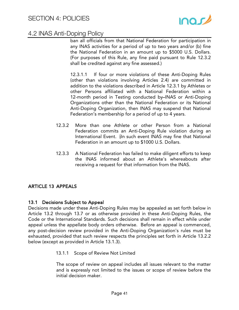

ban all officials from that National Federation for participation in any INAS activities for a period of up to two years and/or (b) fine the National Federation in an amount up to \$5000 U.S. Dollars. (For purposes of this Rule, any fine paid pursuant to Rule 12.3.2 shall be credited against any fine assessed.)

12.3.1.1 If four or more violations of these Anti-Doping Rules (other than violations involving Articles 2.4) are committed in addition to the violations described in Article 12.3.1 by Athletes or other Persons affiliated with a National Federation within a 12-month period in Testing conducted by-INAS or Anti-Doping Organizations other than the National Federation or its National Anti-Doping Organization, then INAS may suspend that National Federation's membership for a period of up to 4 years.

- 12.3.2 More than one Athlete or other Person from a National Federation commits an Anti-Doping Rule violation during an International Event. [In such event INAS may fine that National Federation in an amount up to \$1000 U.S. Dollars.
- 12.3.3 A National Federation has failed to make diligent efforts to keep the INAS informed about an Athlete's whereabouts after receiving a request for that information from the INAS.

#### ARTICLE 13 APPEALS

#### 13.1 Decisions Subject to Appeal

Decisions made under these Anti-Doping Rules may be appealed as set forth below in Article 13.2 through 13.7 or as otherwise provided in these Anti-Doping Rules, the Code or the International Standards. Such decisions shall remain in effect while under appeal unless the appellate body orders otherwise. Before an appeal is commenced, any post-decision review provided in the Anti-Doping Organization's rules must be exhausted, provided that such review respects the principles set forth in Article 13.2.2 below (except as provided in Article 13.1.3).

13.1.1 Scope of Review Not Limited

The scope of review on appeal includes all issues relevant to the matter and is expressly not limited to the issues or scope of review before the initial decision maker.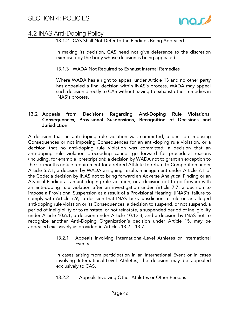

13.1.2 CAS Shall Not Defer to the Findings Being Appealed

In making its decision, CAS need not give deference to the discretion exercised by the body whose decision is being appealed.

13.1.3 WADA Not Required to Exhaust Internal Remedies

Where WADA has a right to appeal under Article 13 and no other party has appealed a final decision within INAS's process, WADA may appeal such decision directly to CAS without having to exhaust other remedies in INAS's process.

#### 13.2 Appeals from Decisions Regarding Anti-Doping Rule Violations, Consequences, Provisional Suspensions, Recognition of Decisions and Jurisdiction

A decision that an anti-doping rule violation was committed, a decision imposing Consequences or not imposing Consequences for an anti-doping rule violation, or a decision that no anti-doping rule violation was committed; a decision that an anti-doping rule violation proceeding cannot go forward for procedural reasons (including, for example, prescription); a decision by WADA not to grant an exception to the six months notice requirement for a retired Athlete to return to Competition under Article 5.7.1; a decision by WADA assigning results management under Article 7.1 of the Code; a decision by INAS not to bring forward an Adverse Analytical Finding or an Atypical Finding as an anti-doping rule violation, or a decision not to go forward with an anti-doping rule violation after an investigation under Article 7.7; a decision to impose a Provisional Suspension as a result of a Provisional Hearing; [INAS's] failure to comply with Article 7.9; a decision that INAS lacks jurisdiction to rule on an alleged anti-doping rule violation or its Consequences; a decision to suspend, or not suspend, a period of Ineligibility or to reinstate, or not reinstate, a suspended period of Ineligibility under Article 10.6.1; a decision under Article 10.12.3; and a decision by INAS not to recognize another Anti-Doping Organization's decision under Article 15, may be appealed exclusively as provided in Articles 13.2 – 13.7.

> 13.2.1 Appeals Involving International-Level Athletes or International Events

> In cases arising from participation in an International Event or in cases involving International-Level Athletes, the decision may be appealed exclusively to CAS.

13.2.2 Appeals Involving Other Athletes or Other Persons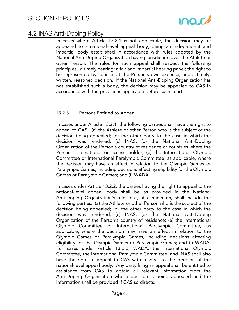

In cases where Article 13.2.1 is not applicable, the decision may be appealed to a national-level appeal body, being an independent and impartial body established in accordance with rules adopted by the National Anti-Doping Organization having jurisdiction over the Athlete or other Person. The rules for such appeal shall respect the following principles: a timely hearing; a fair and impartial hearing panel; the right to be represented by counsel at the Person's own expense; and a timely, written, reasoned decision. If the National Anti-Doping Organization has not established such a body, the decision may be appealed to CAS in accordance with the provisions applicable before such court.

#### 13.2.3 Persons Entitled to Appeal

In cases under Article 13.2.1, the following parties shall have the right to appeal to CAS: (a) the Athlete or other Person who is the subject of the decision being appealed; (b) the other party to the case in which the decision was rendered; (c) INAS; (d) the National Anti-Doping Organization of the Person's country of residence or countries where the Person is a national or license holder; (e) the International Olympic Committee or International Paralympic Committee, as applicable, where the decision may have an effect in relation to the Olympic Games or Paralympic Games, including decisions affecting eligibility for the Olympic Games or Paralympic Games; and (f) WADA.

In cases under Article 13.2.2, the parties having the right to appeal to the national-level appeal body shall be as provided in the National Anti-Doping Organization's rules but, at a minimum, shall include the following parties: (a) the Athlete or other Person who is the subject of the decision being appealed; (b) the other party to the case in which the decision was rendered; (c) INAS; (d) the National Anti-Doping Organization of the Person's country of residence; (e) the International Olympic Committee or International Paralympic Committee, as applicable, where the decision may have an effect in relation to the Olympic Games or Paralympic Games, including decisions affecting eligibility for the Olympic Games or Paralympic Games; and (f) WADA. For cases under Article 13.2.2, WADA, the International Olympic Committee, the International Paralympic Committee, and INAS shall also have the right to appeal to CAS with respect to the decision of the national-level appeal body. Any party filing an appeal shall be entitled to assistance from CAS to obtain all relevant information from the Anti-Doping Organization whose decision is being appealed and the information shall be provided if CAS so directs.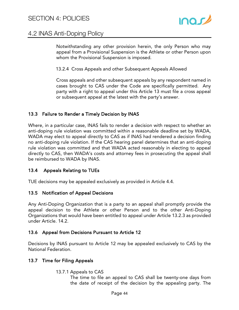

Notwithstanding any other provision herein, the only Person who may appeal from a Provisional Suspension is the Athlete or other Person upon whom the Provisional Suspension is imposed.

13.2.4 Cross Appeals and other Subsequent Appeals Allowed

Cross appeals and other subsequent appeals by any respondent named in cases brought to CAS under the Code are specifically permitted. Any party with a right to appeal under this Article 13 must file a cross appeal or subsequent appeal at the latest with the party's answer.

#### 13.3 Failure to Render a Timely Decision by INAS

Where, in a particular case, INAS fails to render a decision with respect to whether an anti-doping rule violation was committed within a reasonable deadline set by WADA, WADA may elect to appeal directly to CAS as if INAS had rendered a decision finding no anti-doping rule violation. If the CAS hearing panel determines that an anti-doping rule violation was committed and that WADA acted reasonably in electing to appeal directly to CAS, then WADA's costs and attorney fees in prosecuting the appeal shall be reimbursed to WADA by INAS.

#### 13.4 Appeals Relating to TUEs

TUE decisions may be appealed exclusively as provided in Article 4.4.

#### 13.5 Notification of Appeal Decisions

Any Anti-Doping Organization that is a party to an appeal shall promptly provide the appeal decision to the Athlete or other Person and to the other Anti-Doping Organizations that would have been entitled to appeal under Article 13.2.3 as provided under Article. 14.2.

#### 13.6 Appeal from Decisions Pursuant to Article 12

Decisions by INAS pursuant to Article 12 may be appealed exclusively to CAS by the National Federation.

#### 13.7 Time for Filing Appeals

#### 13.7.1 Appeals to CAS

The time to file an appeal to CAS shall be twenty-one days from the date of receipt of the decision by the appealing party. The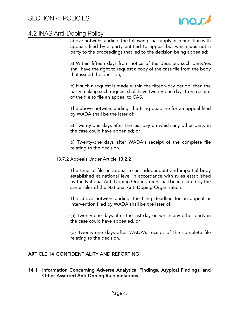

above notwithstanding, the following shall apply in connection with appeals filed by a party entitled to appeal but which was not a party to the proceedings that led to the decision being appealed:

a) Within fifteen days from notice of the decision, such party/ies shall have the right to request a copy of the case file from the body that issued the decision;

b) If such a request is made within the fifteen-day period, then the party making such request shall have twenty-one days from receipt of the file to file an appeal to CAS.

The above notwithstanding, the filing deadline for an appeal filed by WADA shall be the later of:

a) Twenty-one days after the last day on which any other party in the case could have appealed; or

b) Twenty-one days after WADA's receipt of the complete file relating to the decision.

13.7.2 Appeals Under Article 13.2.2

The time to file an appeal to an independent and impartial body established at national level in accordance with rules established by the National Anti-Doping Organization shall be indicated by the same rules of the National Anti-Doping Organization.

The above notwithstanding, the filing deadline for an appeal or intervention filed by WADA shall be the later of:

(a) Twenty-one days after the last day on which any other party in the case could have appealed, or

(b) Twenty-one-days after WADA's receipt of the complete file relating to the decision.

#### ARTICLE 14 CONFIDENTIALITY AND REPORTING

14.1 Information Concerning Adverse Analytical Findings, Atypical Findings, and Other Asserted Anti-Doping Rule Violations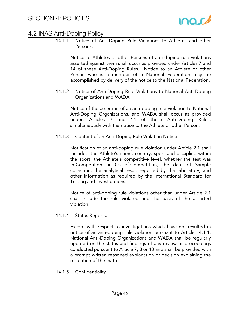

14.1.1 Notice of Anti-Doping Rule Violations to Athletes and other Persons.

Notice to Athletes or other Persons of anti-doping rule violations asserted against them shall occur as provided under Articles 7 and 14 of these Anti-Doping Rules. Notice to an Athlete or other Person who is a member of a National Federation may be accomplished by delivery of the notice to the National Federation.

14.1.2 Notice of Anti-Doping Rule Violations to National Anti-Doping Organizations and WADA.

Notice of the assertion of an anti-doping rule violation to National Anti-Doping Organizations, and WADA shall occur as provided under. Articles 7 and 14 of these Anti-Doping Rules, simultaneously with the notice to the Athlete or other Person.

14.1.3 Content of an Anti-Doping Rule Violation Notice

Notification of an anti-doping rule violation under Article 2.1 shall include: the Athlete's name, country, sport and discipline within the sport, the Athlete's competitive level, whether the test was In-Competition or Out-of-Competition, the date of Sample collection, the analytical result reported by the laboratory, and other information as required by the International Standard for Testing and Investigations.

Notice of anti-doping rule violations other than under Article 2.1 shall include the rule violated and the basis of the asserted violation.

#### 14.1.4 Status Reports.

Except with respect to investigations which have not resulted in notice of an anti-doping rule violation pursuant to Article 14.1.1, National Anti-Doping Organizations and WADA shall be regularly updated on the status and findings of any review or proceedings conducted pursuant to Article 7, 8 or 13 and shall be provided with a prompt written reasoned explanation or decision explaining the resolution of the matter.

#### 14.1.5 Confidentiality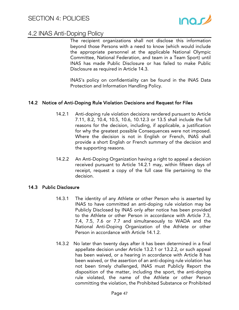

The recipient organizations shall not disclose this information beyond those Persons with a need to know (which would include the appropriate personnel at the applicable National Olympic Committee, National Federation, and team in a Team Sport) until INAS has made Public Disclosure or has failed to make Public Disclosure as required in Article 14.3.

INAS's policy on confidentiality can be found in the INAS Data Protection and Information Handling Policy.

#### 14.2 Notice of Anti-Doping Rule Violation Decisions and Request for Files

- 14.2.1 Anti-doping rule violation decisions rendered pursuant to Article 7.11, 8.2, 10.4, 10.5, 10.6, 10.12.3 or 13.5 shall include the full reasons for the decision, including, if applicable, a justification for why the greatest possible Consequences were not imposed. Where the decision is not in English or French, INAS shall provide a short English or French summary of the decision and the supporting reasons.
- 14.2.2 An Anti-Doping Organization having a right to appeal a decision received pursuant to Article 14.2.1 may, within fifteen days of receipt, request a copy of the full case file pertaining to the decision.

#### 14.3 Public Disclosure

- 14.3.1 The identity of any Athlete or other Person who is asserted by INAS to have committed an anti-doping rule violation may be Publicly Disclosed by INAS only after notice has been provided to the Athlete or other Person in accordance with Article 7.3, 7.4, 7.5, 7.6 or 7.7 and simultaneously to WADA and the National Anti-Doping Organization of the Athlete or other Person in accordance with Article 14.1.2.
- 14.3.2 No later than twenty days after it has been determined in a final appellate decision under Article 13.2.1 or 13.2.2, or such appeal has been waived, or a hearing in accordance with Article 8 has been waived, or the assertion of an anti-doping rule violation has not been timely challenged, INAS must Publicly Report the disposition of the matter, including the sport, the anti-doping rule violated, the name of the Athlete or other Person committing the violation, the Prohibited Substance or Prohibited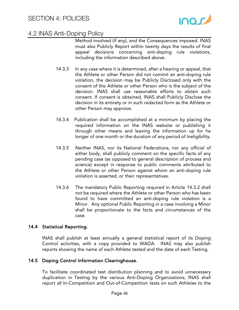

Method involved (if any), and the Consequences imposed. INAS must also Publicly Report within twenty days the results of final appeal decisions concerning anti-doping rule violations, including the information described above.

- 14.3.3 In any case where it is determined, after a hearing or appeal, that the Athlete or other Person did not commit an anti-doping rule violation, the decision may be Publicly Disclosed only with the consent of the Athlete or other Person who is the subject of the decision. INAS shall use reasonable efforts to obtain such consent. If consent is obtained, INAS shall Publicly Disclose the decision in its entirety or in such redacted form as the Athlete or other Person may approve.
- 14.3.4 Publication shall be accomplished at a minimum by placing the required information on the INAS website or publishing it through other means and leaving the information up for he longer of one month or the duration of any period of Ineligibility.
- 14.3.5 Neither INAS, nor its National Federations, nor any official of either body, shall publicly comment on the specific facts of any pending case (as opposed to general description of process and science) except in response to public comments attributed to the Athlete or other Person against whom an anti-doping rule violation is asserted, or their representatives.
- 14.3.6 The mandatory Public Reporting required in Article 14.3.2 shall not be required where the Athlete or other Person who has been found to have committed an anti-doping rule violation is a Minor. Any optional Public Reporting in a case involving a Minor shall be proportionate to the facts and circumstances of the case.

#### 14.4 Statistical Reporting.

INAS shall publish at least annually a general statistical report of its Doping Control activities, with a copy provided to WADA. INAS may also publish reports showing the name of each Athlete tested and the date of each Testing.

#### 14.5 Doping Control Information Clearinghouse.

To facilitate coordinated test distribution planning and to avoid unnecessary duplication in Testing by the various Anti-Doping Organizations, INAS shall report all In-Competition and Out-of-Competition tests on such Athletes to the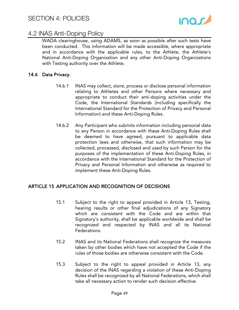

WADA clearinghouse, using ADAMS, as soon as possible after such tests have been conducted. This information will be made accessible, where appropriate and in accordance with the applicable rules, to the Athlete, the Athlete's National Anti-Doping Organization and any other Anti-Doping Organizations with Testing authority over the Athlete.

#### 14.6 Data Privacy.

- 14.6.1 INAS may collect, store, process or disclose personal information relating to Athletes and other Persons where necessary and appropriate to conduct their anti-doping activities under the Code, the International Standards (including specifically the International Standard for the Protection of Privacy and Personal Information) and these Anti-Doping Rules.
- 14.6.2 Any Participant who submits information including personal data to any Person in accordance with these Anti-Doping Rules shall be deemed to have agreed, pursuant to applicable data protection laws and otherwise, that such information may be collected, processed, disclosed and used by such Person for the purposes of the implementation of these Anti-Doping Rules, in accordance with the International Standard for the Protection of Privacy and Personal Information and otherwise as required to implement these Anti-Doping Rules.

#### ARTICLE 15 APPLICATION AND RECOGNITION OF DECISIONS

- 15.1 Subject to the right to appeal provided in Article 13, Testing, hearing results or other final adjudications of any Signatory which are consistent with the Code and are within that Signatory's authority, shall be applicable worldwide and shall be recognized and respected by INAS and all its National Federations.
- 15.2 INAS and its National Federations shall recognize the measures taken by other bodies which have not accepted the Code if the rules of those bodies are otherwise consistent with the Code.
- 15.3 Subject to the right to appeal provided in Article 13, any decision of the INAS regarding a violation of these Anti-Doping Rules shall be recognized by all National Federations, which shall take all necessary action to render such decision effective.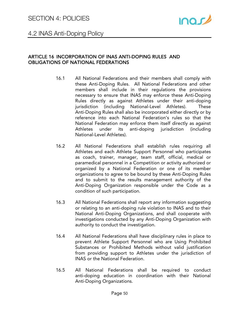

#### ARTICLE 16 INCORPORATION OF INAS ANTI-DOPING RULES AND OBLIGATIONS OF NATIONAL FEDERATIONS

- 16.1 All National Federations and their members shall comply with these Anti-Doping Rules. All National Federations and other members shall include in their regulations the provisions necessary to ensure that INAS may enforce these Anti-Doping Rules directly as against Athletes under their anti-doping jurisdiction (including National-Level Athletes). These Anti-Doping Rules shall also be incorporated either directly or by reference into each National Federation's rules so that the National Federation may enforce them itself directly as against Athletes under its anti-doping jurisdiction (including National-Level Athletes).
- 16.2 All National Federations shall establish rules requiring all Athletes and each Athlete Support Personnel who participates as coach, trainer, manager, team staff, official, medical or paramedical personnel in a Competition or activity authorized or organized by a National Federation or one of its member organizations to agree to be bound by these Anti-Doping Rules and to submit to the results management authority of the Anti-Doping Organization responsible under the Code as a condition of such participation.
- 16.3 All National Federations shall report any information suggesting or relating to an anti-doping rule violation to INAS and to their National Anti-Doping Organizations, and shall cooperate with investigations conducted by any Anti-Doping Organization with authority to conduct the investigation.
- 16.4 All National Federations shall have disciplinary rules in place to prevent Athlete Support Personnel who are Using Prohibited Substances or Prohibited Methods without valid justification from providing support to Athletes under the jurisdiction of INAS or the National Federation.
- 16.5 All National Federations shall be required to conduct anti-doping education in coordination with their National Anti-Doping Organizations.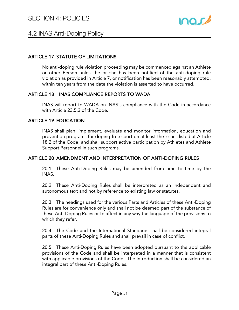

#### ARTICLE 17 STATUTE OF LIMITATIONS

No anti-doping rule violation proceeding may be commenced against an Athlete or other Person unless he or she has been notified of the anti-doping rule violation as provided in Article 7, or notification has been reasonably attempted, within ten years from the date the violation is asserted to have occurred.

#### ARTICLE 18 INAS COMPLIANCE REPORTS TO WADA

INAS will report to WADA on INAS's compliance with the Code in accordance with Article 23.5.2 of the Code.

#### ARTICLE 19 EDUCATION

INAS shall plan, implement, evaluate and monitor information, education and prevention programs for doping-free sport on at least the issues listed at Article 18.2 of the Code, and shall support active participation by Athletes and Athlete Support Personnel in such programs.

#### ARTICLE 20 AMENDMENT AND INTERPRETATION OF ANTI-DOPING RULES

20.1 These Anti-Doping Rules may be amended from time to time by the INAS.

20.2 These Anti-Doping Rules shall be interpreted as an independent and autonomous text and not by reference to existing law or statutes.

20.3 The headings used for the various Parts and Articles of these Anti-Doping Rules are for convenience only and shall not be deemed part of the substance of these Anti-Doping Rules or to affect in any way the language of the provisions to which they refer.

20.4 The Code and the International Standards shall be considered integral parts of these Anti-Doping Rules and shall prevail in case of conflict.

20.5 These Anti-Doping Rules have been adopted pursuant to the applicable provisions of the Code and shall be interpreted in a manner that is consistent with applicable provisions of the Code. The Introduction shall be considered an integral part of these Anti-Doping Rules.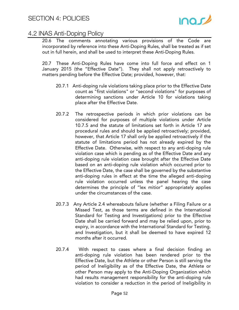

20.6 The comments annotating various provisions of the Code are incorporated by reference into these Anti-Doping Rules, shall be treated as if set out in full herein, and shall be used to interpret these Anti-Doping Rules.

20.7 These Anti-Doping Rules have come into full force and effect on 1 January 2015 (the "Effective Date"). They shall not apply retroactively to matters pending before the Effective Date; provided, however, that:

- 20.7.1 Anti-doping rule violations taking place prior to the Effective Date count as "first violations" or "second violations" for purposes of determining sanctions under Article 10 for violations taking place after the Effective Date.
- 20.7.2 The retrospective periods in which prior violations can be considered for purposes of multiple violations under Article 10.7.5 and the statute of limitations set forth in Article 17 are procedural rules and should be applied retroactively; provided, however, that Article 17 shall only be applied retroactively if the statute of limitations period has not already expired by the Effective Date. Otherwise, with respect to any anti-doping rule violation case which is pending as of the Effective Date and any anti-doping rule violation case brought after the Effective Date based on an anti-doping rule violation which occurred prior to the Effective Date, the case shall be governed by the substantive anti-doping rules in effect at the time the alleged anti-doping rule violation occurred unless the panel hearing the case determines the principle of "lex mitior" appropriately applies under the circumstances of the case.
- 20.7.3 Any Article 2.4 whereabouts failure (whether a Filing Failure or a Missed Test, as those terms are defined in the International Standard for Testing and Investigations) prior to the Effective Date shall be carried forward and may be relied upon, prior to expiry, in accordance with the International Standard for Testing. and Investigation, but it shall be deemed to have expired 12 months after it occurred.
- 20.7.4 With respect to cases where a final decision finding an anti-doping rule violation has been rendered prior to the Effective Date, but the Athlete or other Person is still serving the period of Ineligibility as of the Effective Date, the Athlete or other Person may apply to the Anti-Doping Organization which had results management responsibility for the anti-doping rule violation to consider a reduction in the period of Ineligibility in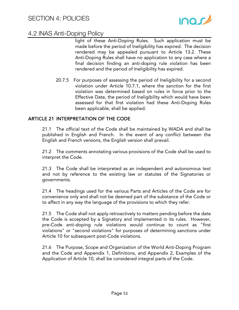

light of these Anti-Doping Rules. Such application must be made before the period of Ineligibility has expired. The decision rendered may be appealed pursuant to Article 13.2. These Anti-Doping Rules shall have no application to any case where a final decision finding an anti-doping rule violation has been rendered and the period of Ineligibility has expired.

20.7.5 For purposes of assessing the period of Ineligibility for a second violation under Article 10.7.1, where the sanction for the first violation was determined based on rules in force prior to the Effective Date, the period of Ineligibility which would have been assessed for that first violation had these Anti-Doping Rules been applicable, shall be applied.

#### ARTICLE 21 INTERPRETATION OF THE CODE

21.1 The official text of the Code shall be maintained by WADA and shall be published in English and French. In the event of any conflict between the English and French versions, the English version shall prevail.

21.2 The comments annotating various provisions of the Code shall be used to interpret the Code.

21.3 The Code shall be interpreted as an independent and autonomous text and not by reference to the existing law or statutes of the Signatories or governments.

21.4 The headings used for the various Parts and Articles of the Code are for convenience only and shall not be deemed part of the substance of the Code or to affect in any way the language of the provisions to which they refer.

21.5 The Code shall not apply retroactively to matters pending before the date the Code is accepted by a Signatory and implemented in its rules. However, pre-Code anti-doping rule violations would continue to count as "first violations" or "second violations" for purposes of determining sanctions under Article 10 for subsequent post-Code violations.

21.6 The Purpose, Scope and Organization of the World Anti-Doping Program and the Code and Appendix 1, Definitions, and Appendix 2, Examples of the Application of Article 10, shall be considered integral parts of the Code.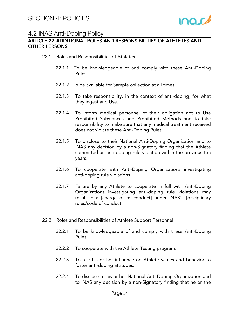

#### ARTICLE 22 ADDITIONAL ROLES AND RESPONSIBILITIES OF ATHLETES AND OTHER PERSONS

- 22.1 Roles and Responsibilities of Athletes.
	- 22.1.1 To be knowledgeable of and comply with these Anti-Doping Rules.
	- 22.1.2 To be available for Sample collection at all times.
	- 22.1.3 To take responsibility, in the context of anti-doping, for what they ingest and Use.
	- 22.1.4 To inform medical personnel of their obligation not to Use Prohibited Substances and Prohibited Methods and to take responsibility to make sure that any medical treatment received does not violate these Anti-Doping Rules.
	- 22.1.5 To disclose to their National Anti-Doping Organization and to INAS any decision by a non-Signatory finding that the Athlete committed an anti-doping rule violation within the previous ten years.
	- 22.1.6 To cooperate with Anti-Doping Organizations investigating anti-doping rule violations.
	- 22.1.7 Failure by any Athlete to cooperate in full with Anti-Doping Organizations investigating anti-doping rule violations may result in a [charge of misconduct] under INAS's [disciplinary rules/code of conduct].
- 22.2 Roles and Responsibilities of Athlete Support Personnel
	- 22.2.1 To be knowledgeable of and comply with these Anti-Doping Rules.
	- 22.2.2 To cooperate with the Athlete Testing program.
	- 22.2.3 To use his or her influence on Athlete values and behavior to foster anti-doping attitudes.
	- 22.2.4 To disclose to his or her National Anti-Doping Organization and to INAS any decision by a non-Signatory finding that he or she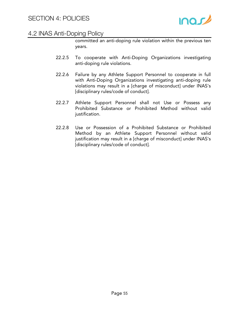

committed an anti-doping rule violation within the previous ten years.

- 22.2.5 To cooperate with Anti-Doping Organizations investigating anti-doping rule violations.
- 22.2.6 Failure by any Athlete Support Personnel to cooperate in full with Anti-Doping Organizations investigating anti-doping rule violations may result in a [charge of misconduct] under INAS's [disciplinary rules/code of conduct].
- 22.2.7 Athlete Support Personnel shall not Use or Possess any Prohibited Substance or Prohibited Method without valid justification.
- 22.2.8 Use or Possession of a Prohibited Substance or Prohibited Method by an Athlete Support Personnel without valid justification may result in a [charge of misconduct] under INAS's [disciplinary rules/code of conduct].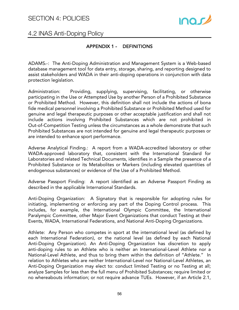

#### APPENDIX 1 - DEFINITIONS

ADAMS-: The Anti-Doping Administration and Management System is a Web-based database management tool for data entry, storage, sharing, and reporting designed to assist stakeholders and WADA in their anti-doping operations in conjunction with data protection legislation.

Administration: Providing, supplying, supervising, facilitating, or otherwise participating in the Use or Attempted Use by another Person of a Prohibited Substance or Prohibited Method. However, this definition shall not include the actions of bona fide medical personnel involving a Prohibited Substance or Prohibited Method used for genuine and legal therapeutic purposes or other acceptable justification and shall not include actions involving Prohibited Substances which are not prohibited in Out-of-Competition Testing unless the circumstances as a whole demonstrate that such Prohibited Substances are not intended for genuine and legal therapeutic purposes or are intended to enhance sport performance.

Adverse Analytical Finding.: A report from a WADA-accredited laboratory or other WADA-approved laboratory that, consistent with the International Standard for Laboratories and related Technical Documents, identifies in a Sample the presence of a Prohibited Substance or its Metabolites or Markers (including elevated quantities of endogenous substances) or evidence of the Use of a Prohibited Method.

Adverse Passport Finding: A report identified as an Adverse Passport Finding as described in the applicable International Standards.

Anti-Doping Organization: A Signatory that is responsible for adopting rules for initiating, implementing or enforcing any part of the Doping Control process. This includes, for example, the International Olympic Committee, the International Paralympic Committee, other Major Event Organizations that conduct Testing at their Events, WADA, International Federations, and National Anti-Doping Organizations.

Athlete: Any Person who competes in sport at the international level (as defined by each International Federation), or the national level (as defined by each National Anti-Doping Organization). An Anti-Doping Organization has discretion to apply anti-doping rules to an Athlete who is neither an International-Level Athlete nor a National-Level Athlete, and thus to bring them within the definition of "Athlete." In relation to Athletes who are neither International-Level nor National-Level Athletes, an Anti-Doping Organization may elect to: conduct limited Testing or no Testing at all; analyze Samples for less than the full menu of Prohibited Substances; require limited or no whereabouts information; or not require advance TUEs. However, if an Article 2.1,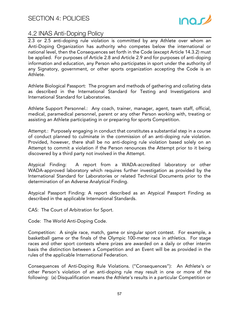

2.3 or 2.5 anti-doping rule violation is committed by any Athlete over whom an Anti-Doping Organization has authority who competes below the international or national level, then the Consequences set forth in the Code (except Article 14.3.2) must be applied. For purposes of Article 2.8 and Article 2.9 and for purposes of anti-doping information and education, any Person who participates in sport under the authority of any Signatory, government, or other sports organization accepting the Code is an Athlete.

Athlete Biological Passport: The program and methods of gathering and collating data as described in the International Standard for Testing and Investigations and International Standard for Laboratories.

Athlete Support Personnel.: Any coach, trainer, manager, agent, team staff, official, medical, paramedical personnel, parent or any other Person working with, treating or assisting an Athlete participating in or preparing for sports Competition.

Attempt.: Purposely engaging in conduct that constitutes a substantial step in a course of conduct planned to culminate in the commission of an anti-doping rule violation. Provided, however, there shall be no anti-doping rule violation based solely on an Attempt to commit a violation if the Person renounces the Attempt prior to it being discovered by a third party not involved in the Attempt.

Atypical Finding: A report from a WADA-accredited laboratory or other WADA-approved laboratory which requires further investigation as provided by the International Standard for Laboratories or related Technical Documents prior to the determination of an Adverse Analytical Finding.

Atypical Passport Finding: A report described as an Atypical Passport Finding as described in the applicable International Standards.

CAS: The Court of Arbitration for Sport.

Code: The World Anti-Doping Code.

Competition: A single race, match, game or singular sport contest. For example, a basketball game or the finals of the Olympic 100-meter race in athletics. For stage races and other sport contests where prizes are awarded on a daily or other interim basis the distinction between a Competition and an Event will be as provided in the rules of the applicable International Federation.

Consequences of Anti-Doping Rule Violations. ("Consequences"): An Athlete's or other Person's violation of an anti-doping rule may result in one or more of the following: (a) Disqualification means the Athlete's results in a particular Competition or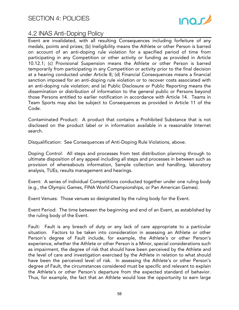

Event are invalidated, with all resulting Consequences including forfeiture of any medals, points and prizes; (b) Ineligibility means the Athlete or other Person is barred on account of an anti-doping rule violation for a specified period of time from participating in any Competition or other activity or funding as provided in Article 10.12.1; (c) Provisional Suspension means the Athlete or other Person is barred temporarily from participating in any Competition or activity prior to the final decision at a hearing conducted under Article 8; (d) Financial Consequences means a financial sanction imposed for an anti-doping rule violation or to recover costs associated with an anti-doping rule violation; and (e) Public Disclosure or Public Reporting means the dissemination or distribution of information to the general public or Persons beyond those Persons entitled to earlier notification in accordance with Article 14. Teams in Team Sports may also be subject to Consequences as provided in Article 11 of the Code.

Contaminated Product: A product that contains a Prohibited Substance that is not disclosed on the product label or in information available in a reasonable Internet search.

Disqualification: See Consequences of Anti-Doping Rule Violations, above.

Doping Control: All steps and processes from test distribution planning through to ultimate disposition of any appeal including all steps and processes in between such as provision of whereabouts information, Sample collection and handling, laboratory analysis, TUEs, results management and hearings.

Event: A series of individual Competitions conducted together under one ruling body (e.g., the Olympic Games, FINA World Championships, or Pan American Games).

Event Venues: Those venues so designated by the ruling body for the Event.

Event Period: The time between the beginning and end of an Event, as established by the ruling body of the Event.

Fault: Fault is any breach of duty or any lack of care appropriate to a particular situation. Factors to be taken into consideration in assessing an Athlete or other Person's degree of Fault include, for example, the Athlete's or other Person's experience, whether the Athlete or other Person is a Minor, special considerations such as impairment, the degree of risk that should have been perceived by the Athlete and the level of care and investigation exercised by the Athlete in relation to what should have been the perceived level of risk. In assessing the Athlete's or other Person's degree of Fault, the circumstances considered must be specific and relevant to explain the Athlete's or other Person's departure from the expected standard of behavior. Thus, for example, the fact that an Athlete would lose the opportunity to earn large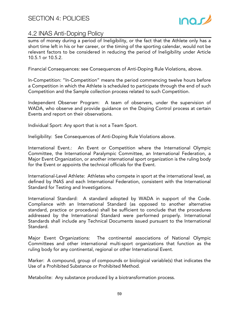

sums of money during a period of Ineligibility, or the fact that the Athlete only has a short time left in his or her career, or the timing of the sporting calendar, would not be relevant factors to be considered in reducing the period of Ineligibility under Article 10.5.1 or 10.5.2.

Financial Consequences: see Consequences of Anti-Doping Rule Violations, above.

In-Competition: "In-Competition" means the period commencing twelve hours before a Competition in which the Athlete is scheduled to participate through the end of such Competition and the Sample collection process related to such Competition.

Independent Observer Program: A team of observers, under the supervision of WADA, who observe and provide guidance on the Doping Control process at certain Events and report on their observations.

Individual Sport: Any sport that is not a Team Sport.

Ineligibility: See Consequences of Anti-Doping Rule Violations above.

International Event.: An Event or Competition where the International Olympic Committee, the International Paralympic Committee, an International Federation, a Major Event Organization, or another international sport organization is the ruling body for the Event or appoints the technical officials for the Event.

International-Level Athlete: Athletes who compete in sport at the international level, as defined by INAS and each International Federation, consistent with the International Standard for Testing and Investigations.

International Standard: A standard adopted by WADA in support of the Code. Compliance with an International Standard (as opposed to another alternative standard, practice or procedure) shall be sufficient to conclude that the procedures addressed by the International Standard were performed properly. International Standards shall include any Technical Documents issued pursuant to the International Standard.

Major Event Organizations: The continental associations of National Olympic Committees and other international multi-sport organizations that function as the ruling body for any continental, regional or other International Event.

Marker: A compound, group of compounds or biological variable(s) that indicates the Use of a Prohibited Substance or Prohibited Method.

Metabolite: Any substance produced by a biotransformation process.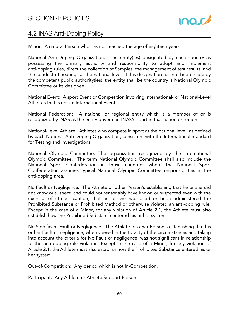## SECTION 4: POLICIES



## 4.2 INAS Anti-Doping Policy

Minor: A natural Person who has not reached the age of eighteen years.

National Anti-Doping Organization: The entity(ies) designated by each country as possessing the primary authority and responsibility to adopt and implement anti-doping rules, direct the collection of Samples, the management of test results, and the conduct of hearings at the national level. If this designation has not been made by the competent public authority(ies), the entity shall be the country''s National Olympic Committee or its designee.

National Event: A sport Event or Competition involving International- or National-Level Athletes that is not an International Event.

National Federation: A national or regional entity which is a member of or is recognized by INAS as the entity governing INAS's sport in that nation or region.

National-Level Athlete: Athletes who compete in sport at the national level, as defined by each National Anti-Doping Organization, consistent with the International Standard for Testing and Investigations.

National Olympic Committee: The organization recognized by the International Olympic Committee. The term National Olympic Committee shall also include the National Sport Confederation in those countries where the National Sport Confederation assumes typical National Olympic Committee responsibilities in the anti-doping area.

No Fault or Negligence: The Athlete or other Person's establishing that he or she did not know or suspect, and could not reasonably have known or suspected even with the exercise of utmost caution, that he or she had Used or been administered the Prohibited Substance or Prohibited Method or otherwise violated an anti-doping rule. Except in the case of a Minor, for any violation of Article 2.1, the Athlete must also establish how the Prohibited Substance entered his or her system.

No Significant Fault or Negligence: The Athlete or other Person's establishing that his or her Fault or negligence, when viewed in the totality of the circumstances and taking into account the criteria for No Fault or negligence, was not significant in relationship to the anti-doping rule violation. Except in the case of a Minor, for any violation of Article 2.1, the Athlete must also establish how the Prohibited Substance entered his or her system.

Out-of-Competition: Any period which is not In-Competition.

Participant: Any Athlete or Athlete Support Person.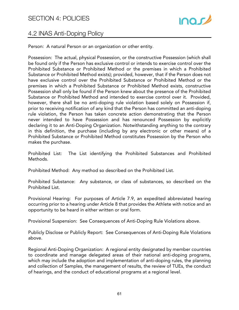# SECTION 4: POLICIES



## 4.2 INAS Anti-Doping Policy

Person: A natural Person or an organization or other entity.

Possession: The actual, physical Possession, or the constructive Possession (which shall be found only if the Person has exclusive control or intends to exercise control over the Prohibited Substance or Prohibited Method or the premises in which a Prohibited Substance or Prohibited Method exists); provided, however, that if the Person does not have exclusive control over the Prohibited Substance or Prohibited Method or the premises in which a Prohibited Substance or Prohibited Method exists, constructive Possession shall only be found if the Person knew about the presence of the Prohibited Substance or Prohibited Method and intended to exercise control over it. Provided, however, there shall be no anti-doping rule violation based solely on Possession if, prior to receiving notification of any kind that the Person has committed an anti-doping rule violation, the Person has taken concrete action demonstrating that the Person never intended to have Possession and has renounced Possession by explicitly declaring it to an Anti-Doping Organization. Notwithstanding anything to the contrary in this definition, the purchase (including by any electronic or other means) of a Prohibited Substance or Prohibited Method constitutes Possession by the Person who makes the purchase.

Prohibited List: The List identifying the Prohibited Substances and Prohibited Methods.

Prohibited Method: Any method so described on the Prohibited List.

Prohibited Substance: Any substance, or class of substances, so described on the Prohibited List.

Provisional Hearing: For purposes of Article 7.9, an expedited abbreviated hearing occurring prior to a hearing under Article 8 that provides the Athlete with notice and an opportunity to be heard in either written or oral form.

Provisional Suspension: See Consequences of Anti-Doping Rule Violations above.

Publicly Disclose or Publicly Report: See Consequences of Anti-Doping Rule Violations above.

Regional Anti-Doping Organization: A regional entity designated by member countries to coordinate and manage delegated areas of their national anti-doping programs, which may include the adoption and implementation of anti-doping rules, the planning and collection of Samples, the management of results, the review of TUEs, the conduct of hearings, and the conduct of educational programs at a regional level.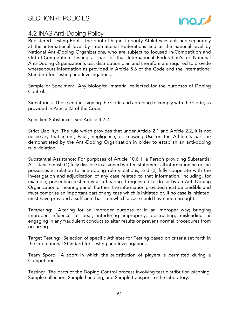

Registered Testing Pool: The pool of highest-priority Athletes established separately at the international level by International Federations and at the national level by National Anti-Doping Organizations, who are subject to focused In-Competition and Out-of-Competition Testing as part of that International Federation's or National Anti-Doping Organization's test distribution plan and therefore are required to provide whereabouts information as provided in Article 5.6 of the Code and the International Standard for Testing and Investigations.

Sample or Specimen: Any biological material collected for the purposes of Doping Control.

Signatories: Those entities signing the Code and agreeing to comply with the Code, as provided in Article 23 of the Code.

Specified Substance: See Article 4.2.2.

Strict Liability: The rule which provides that under Article 2.1 and Article 2.2, it is not necessary that intent, Fault, negligence, or knowing Use on the Athlete's part be demonstrated by the Anti-Doping Organization in order to establish an anti-doping rule violation.

Substantial Assistance: For purposes of Article 10.6.1, a Person providing Substantial Assistance must: (1) fully disclose in a signed written statement all information he or she possesses in relation to anti-doping rule violations, and (2) fully cooperate with the investigation and adjudication of any case related to that information, including, for example, presenting testimony at a hearing if requested to do so by an Anti-Doping Organization or hearing panel. Further, the information provided must be credible and must comprise an important part of any case which is initiated or, if no case is initiated, must have provided a sufficient basis on which a case could have been brought.

Tampering: Altering for an improper purpose or in an improper way; bringing improper influence to bear; interfering improperly; obstructing, misleading or engaging in any fraudulent conduct to alter results or prevent normal procedures from occurring.

Target Testing: Selection of specific Athletes for Testing based on criteria set forth in the International Standard for Testing and Investigations.

Team Sport: A sport in which the substitution of players is permitted during a Competition.

Testing: The parts of the Doping Control process involving test distribution planning, Sample collection, Sample handling, and Sample transport to the laboratory.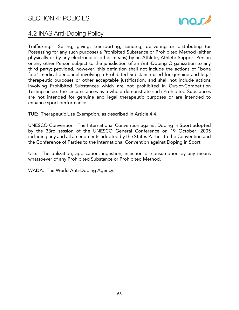# SECTION 4: POLICIES



## 4.2 INAS Anti-Doping Policy

Trafficking: Selling, giving, transporting, sending, delivering or distributing (or Possessing for any such purpose) a Prohibited Substance or Prohibited Method (either physically or by any electronic or other means) by an Athlete, Athlete Support Person or any other Person subject to the jurisdiction of an Anti-Doping Organization to any third party; provided, however, this definition shall not include the actions of "bona fide" medical personnel involving a Prohibited Substance used for genuine and legal therapeutic purposes or other acceptable justification, and shall not include actions involving Prohibited Substances which are not prohibited in Out-of-Competition Testing unless the circumstances as a whole demonstrate such Prohibited Substances are not intended for genuine and legal therapeutic purposes or are intended to enhance sport performance.

TUE: Therapeutic Use Exemption, as described in Article 4.4.

UNESCO Convention: The International Convention against Doping in Sport adopted by the 33rd session of the UNESCO General Conference on 19 October, 2005 including any and all amendments adopted by the States Parties to the Convention and the Conference of Parties to the International Convention against Doping in Sport.

Use: The utilization, application, ingestion, injection or consumption by any means whatsoever of any Prohibited Substance or Prohibited Method.

WADA: The World Anti-Doping Agency.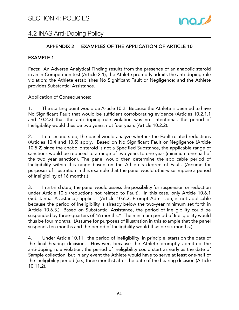

### APPENDIX 2 EXAMPLES OF THE APPLICATION OF ARTICLE 10

#### EXAMPLE 1.

Facts: An Adverse Analytical Finding results from the presence of an anabolic steroid in an In-Competition test (Article 2.1); the Athlete promptly admits the anti-doping rule violation; the Athlete establishes No Significant Fault or Negligence; and the Athlete provides Substantial Assistance.

Application of Consequences:

1. The starting point would be Article 10.2. Because the Athlete is deemed to have No Significant Fault that would be sufficient corroborating evidence (Articles 10.2.1.1 and 10.2.3) that the anti-doping rule violation was not intentional, the period of Ineligibility would thus be two years, not four years (Article 10.2.2).

2. In a second step, the panel would analyze whether the Fault-related reductions (Articles 10.4 and 10.5) apply. Based on No Significant Fault or Negligence (Article 10.5.2) since the anabolic steroid is not a Specified Substance, the applicable range of sanctions would be reduced to a range of two years to one year (minimum one-half of the two year sanction). The panel would then determine the applicable period of Ineligibility within this range based on the Athlete's degree of Fault. (Assume for purposes of illustration in this example that the panel would otherwise impose a period of Ineligibility of 16 months.)

3. In a third step, the panel would assess the possibility for suspension or reduction under Article 10.6 (reductions not related to Fault). In this case, only Article 10.6.1 (Substantial Assistance) applies. (Article 10.6.3, Prompt Admission, is not applicable because the period of Ineligibility is already below the two-year minimum set forth in Article 10.6.3.) Based on Substantial Assistance, the period of Ineligibility could be suspended by three-quarters of 16 months.\* The minimum period of Ineligibility would thus be four months. (Assume for purposes of illustration in this example that the panel suspends ten months and the period of Ineligibility would thus be six months.)

4. Under Article 10.11, the period of Ineligibility, in principle, starts on the date of the final hearing decision. However, because the Athlete promptly admitted the anti-doping rule violation, the period of Ineligibility could start as early as the date of Sample collection, but in any event the Athlete would have to serve at least one-half of the Ineligibility period (i.e., three months) after the date of the hearing decision (Article 10.11.2).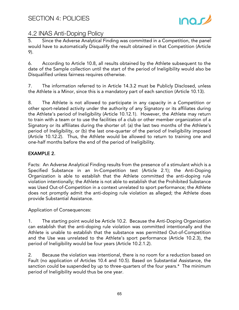

Since the Adverse Analytical Finding was committed in a Competition, the panel would have to automatically Disqualify the result obtained in that Competition (Article 9).

6. According to Article 10.8, all results obtained by the Athlete subsequent to the date of the Sample collection until the start of the period of Ineligibility would also be Disqualified unless fairness requires otherwise.

7. The information referred to in Article 14.3.2 must be Publicly Disclosed, unless the Athlete is a Minor, since this is a mandatory part of each sanction (Article 10.13).

8. The Athlete is not allowed to participate in any capacity in a Competition or other sport-related activity under the authority of any Signatory or its affiliates during the Athlete's period of Ineligibility (Article 10.12.1). However, the Athlete may return to train with a team or to use the facilities of a club or other member organization of a Signatory or its affiliates during the shorter of: (a) the last two months of the Athlete's period of Ineligibility, or (b) the last one-quarter of the period of Ineligibility imposed (Article 10.12.2). Thus, the Athlete would be allowed to return to training one and one-half months before the end of the period of Ineligibility.

### EXAMPLE 2.

Facts: An Adverse Analytical Finding results from the presence of a stimulant which is a Specified Substance in an In-Competition test (Article 2.1); the Anti-Doping Organization is able to establish that the Athlete committed the anti-doping rule violation intentionally; the Athlete is not able to establish that the Prohibited Substance was Used Out-of-Competition in a context unrelated to sport performance; the Athlete does not promptly admit the anti-doping rule violation as alleged; the Athlete does provide Substantial Assistance.

Application of Consequences:

1. The starting point would be Article 10.2. Because the Anti-Doping Organization can establish that the anti-doping rule violation was committed intentionally and the Athlete is unable to establish that the substance was permitted Out-of-Competition and the Use was unrelated to the Athlete's sport performance (Article 10.2.3), the period of Ineligibility would be four years (Article 10.2.1.2).

2. Because the violation was intentional, there is no room for a reduction based on Fault (no application of Articles 10.4 and 10.5). Based on Substantial Assistance, the sanction could be suspended by up to three-quarters of the four years.\* The minimum period of Ineligibility would thus be one year.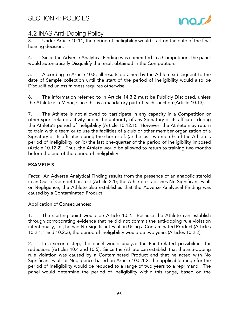# SECTION 4: POLICIES



### 4.2 INAS Anti-Doping Policy

Under Article 10.11, the period of Ineligibility would start on the date of the final hearing decision.

4. Since the Adverse Analytical Finding was committed in a Competition, the panel would automatically Disqualify the result obtained in the Competition.

5. According to Article 10.8, all results obtained by the Athlete subsequent to the date of Sample collection until the start of the period of Ineligibility would also be Disqualified unless fairness requires otherwise.

6. The information referred to in Article 14.3.2 must be Publicly Disclosed, unless the Athlete is a Minor, since this is a mandatory part of each sanction (Article 10.13).

7. The Athlete is not allowed to participate in any capacity in a Competition or other sport-related activity under the authority of any Signatory or its affiliates during the Athlete's period of Ineligibility (Article 10.12.1). However, the Athlete may return to train with a team or to use the facilities of a club or other member organization of a Signatory or its affiliates during the shorter of: (a) the last two months of the Athlete's period of Ineligibility, or (b) the last one-quarter of the period of Ineligibility imposed (Article 10.12.2). Thus, the Athlete would be allowed to return to training two months before the end of the period of Ineligibility.

#### EXAMPLE 3.

Facts: An Adverse Analytical Finding results from the presence of an anabolic steroid in an Out-of-Competition test (Article 2.1); the Athlete establishes No Significant Fault or Negligence; the Athlete also establishes that the Adverse Analytical Finding was caused by a Contaminated Product.

Application of Consequences:

1. The starting point would be Article 10.2. Because the Athlete can establish through corroborating evidence that he did not commit the anti-doping rule violation intentionally, i.e., he had No Significant Fault in Using a Contaminated Product (Articles 10.2.1.1 and 10.2.3), the period of Ineligibility would be two years (Articles 10.2.2).

2. In a second step, the panel would analyze the Fault-related possibilities for reductions (Articles 10.4 and 10.5). Since the Athlete can establish that the anti-doping rule violation was caused by a Contaminated Product and that he acted with No Significant Fault or Negligence based on Article 10.5.1.2, the applicable range for the period of Ineligibility would be reduced to a range of two years to a reprimand. The panel would determine the period of Ineligibility within this range, based on the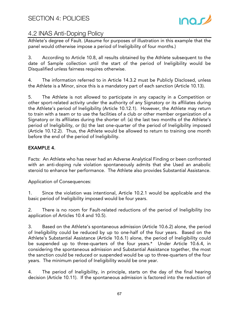

Athlete's degree of Fault. (Assume for purposes of illustration in this example that the panel would otherwise impose a period of Ineligibility of four months.)

3. According to Article 10.8, all results obtained by the Athlete subsequent to the date of Sample collection until the start of the period of Ineligibility would be Disqualified unless fairness requires otherwise.

4. The information referred to in Article 14.3.2 must be Publicly Disclosed, unless the Athlete is a Minor, since this is a mandatory part of each sanction (Article 10.13).

5. The Athlete is not allowed to participate in any capacity in a Competition or other sport-related activity under the authority of any Signatory or its affiliates during the Athlete's period of Ineligibility (Article 10.12.1). However, the Athlete may return to train with a team or to use the facilities of a club or other member organization of a Signatory or its affiliates during the shorter of: (a) the last two months of the Athlete's period of Ineligibility, or (b) the last one-quarter of the period of Ineligibility imposed (Article 10.12.2). Thus, the Athlete would be allowed to return to training one month before the end of the period of Ineligibility.

#### EXAMPLE 4.

Facts: An Athlete who has never had an Adverse Analytical Finding or been confronted with an anti-doping rule violation spontaneously admits that she Used an anabolic steroid to enhance her performance. The Athlete also provides Substantial Assistance.

Application of Consequences:

1. Since the violation was intentional, Article 10.2.1 would be applicable and the basic period of Ineligibility imposed would be four years.

2. There is no room for Fault-related reductions of the period of Ineligibility (no application of Articles 10.4 and 10.5).

3. Based on the Athlete's spontaneous admission (Article 10.6.2) alone, the period of Ineligibility could be reduced by up to one-half of the four years. Based on the Athlete's Substantial Assistance (Article 10.6.1) alone, the period of Ineligibility could be suspended up to three-quarters of the four years.\* Under Article 10.6.4, in considering the spontaneous admission and Substantial Assistance together, the most the sanction could be reduced or suspended would be up to three-quarters of the four years. The minimum period of Ineligibility would be one year.

4. The period of Ineligibility, in principle, starts on the day of the final hearing decision (Article 10.11). If the spontaneous admission is factored into the reduction of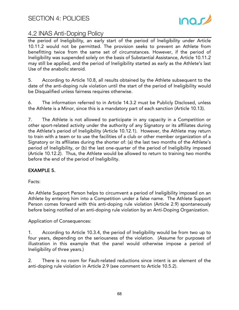# SECTION 4: POLICIES



## 4.2 INAS Anti-Doping Policy

the period of Ineligibility, an early start of the period of Ineligibility under Article 10.11.2 would not be permitted. The provision seeks to prevent an Athlete from benefitting twice from the same set of circumstances. However, if the period of Ineligibility was suspended solely on the basis of Substantial Assistance, Article 10.11.2 may still be applied, and the period of Ineligibility started as early as the Athlete's last Use of the anabolic steroid.

5. According to Article 10.8, all results obtained by the Athlete subsequent to the date of the anti-doping rule violation until the start of the period of Ineligibility would be Disqualified unless fairness requires otherwise.

6. The information referred to in Article 14.3.2 must be Publicly Disclosed, unless the Athlete is a Minor, since this is a mandatory part of each sanction (Article 10.13).

7. The Athlete is not allowed to participate in any capacity in a Competition or other sport-related activity under the authority of any Signatory or its affiliates during the Athlete's period of Ineligibility (Article 10.12.1). However, the Athlete may return to train with a team or to use the facilities of a club or other member organization of a Signatory or its affiliates during the shorter of: (a) the last two months of the Athlete's period of Ineligibility, or (b) the last one-quarter of the period of Ineligibility imposed (Article 10.12.2). Thus, the Athlete would be allowed to return to training two months before the end of the period of Ineligibility.

#### EXAMPLE 5.

Facts:

An Athlete Support Person helps to circumvent a period of Ineligibility imposed on an Athlete by entering him into a Competition under a false name. The Athlete Support Person comes forward with this anti-doping rule violation (Article 2.9) spontaneously before being notified of an anti-doping rule violation by an Anti-Doping Organization.

Application of Consequences:

1. According to Article 10.3.4, the period of Ineligibility would be from two up to four years, depending on the seriousness of the violation. (Assume for purposes of illustration in this example that the panel would otherwise impose a period of Ineligibility of three years.)

2. There is no room for Fault-related reductions since intent is an element of the anti-doping rule violation in Article 2.9 (see comment to Article 10.5.2).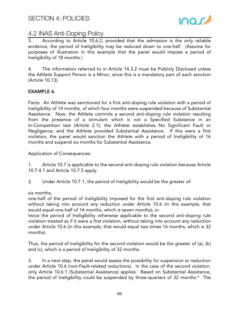

According to Article 10.6.2, provided that the admission is the only reliable evidence, the period of Ineligibility may be reduced down to one-half. (Assume for purposes of illustration in this example that the panel would impose a period of Ineligibility of 18 months.)

4. The information referred to in Article 14.3.2 must be Publicly Disclosed unless the Athlete Support Person is a Minor, since this is a mandatory part of each sanction (Article 10.13).

### EXAMPLE 6.

Facts: An Athlete was sanctioned for a first anti-doping rule violation with a period of Ineligibility of 14 months, of which four months were suspended because of Substantial Assistance. Now, the Athlete commits a second anti-doping rule violation resulting from the presence of a stimulant which is not a Specified Substance in an In-Competition test (Article 2.1); the Athlete establishes No Significant Fault or Negligence; and the Athlete provided Substantial Assistance. If this were a first violation, the panel would sanction the Athlete with a period of Ineligibility of 16 months and suspend six months for Substantial Assistance.

Application of Consequences:

1. Article 10.7 is applicable to the second anti-doping rule violation because Article 10.7.4.1 and Article 10.7.5 apply.

2. Under Article 10.7.1, the period of Ineligibility would be the greater of:

six months;

one-half of the period of Ineligibility imposed for the first anti-doping rule violation without taking into account any reduction under Article 10.6 (in this example, that would equal one-half of 14 months, which is seven months); or

twice the period of Ineligibility otherwise applicable to the second anti-doping rule violation treated as if it were a first violation, without taking into account any reduction under Article 10.6 (in this example, that would equal two times 16 months, which is 32 months).

Thus, the period of Ineligibility for the second violation would be the greater of (a), (b) and (c), which is a period of Ineligibility of 32 months.

3. In a next step, the panel would assess the possibility for suspension or reduction under Article 10.6 (non-Fault-related reductions). In the case of the second violation, only Article 10.6.1 (Substantial Assistance) applies. Based on Substantial Assistance, the period of Ineligibility could be suspended by three-quarters of 32 months.\* The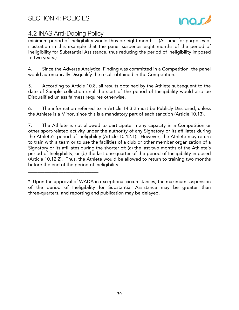

\_\_\_\_\_\_\_\_\_\_\_\_\_\_\_\_\_\_\_\_\_\_\_\_\_\_\_\_\_\_

minimum period of Ineligibility would thus be eight months. (Assume for purposes of illustration in this example that the panel suspends eight months of the period of Ineligibility for Substantial Assistance, thus reducing the period of Ineligibility imposed to two years.)

4. Since the Adverse Analytical Finding was committed in a Competition, the panel would automatically Disqualify the result obtained in the Competition.

5. According to Article 10.8, all results obtained by the Athlete subsequent to the date of Sample collection until the start of the period of Ineligibility would also be Disqualified unless fairness requires otherwise.

6. The information referred to in Article 14.3.2 must be Publicly Disclosed, unless the Athlete is a Minor, since this is a mandatory part of each sanction (Article 10.13).

7. The Athlete is not allowed to participate in any capacity in a Competition or other sport-related activity under the authority of any Signatory or its affiliates during the Athlete's period of Ineligibility (Article 10.12.1). However, the Athlete may return to train with a team or to use the facilities of a club or other member organization of a Signatory or its affiliates during the shorter of: (a) the last two months of the Athlete's period of Ineligibility, or (b) the last one-quarter of the period of Ineligibility imposed (Article 10.12.2). Thus, the Athlete would be allowed to return to training two months before the end of the period of Ineligibility

<sup>\*</sup> Upon the approval of WADA in exceptional circumstances, the maximum suspension of the period of Ineligibility for Substantial Assistance may be greater than three-quarters, and reporting and publication may be delayed.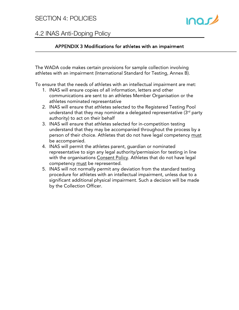# SECTION 4: POLICIES

-



4.2 INAS Anti-Doping Policy

#### APPENDIX 3 Modifications for athletes with an impairment

The WADA code makes certain provisions for sample collection involving athletes with an impairment (International Standard for Testing, Annex B).

To ensure that the needs of athletes with an intellectual impairment are met:

- 1. INAS will ensure copies of all information, letters and other communications are sent to an athletes Member Organisation or the athletes nominated representative
- 2. INAS will ensure that athletes selected to the Registered Testing Pool understand that they may nominate a delegated representative  $(3<sup>rd</sup>$  party authority) to act on their behalf
- 3. INAS will ensure that athletes selected for in-competition testing understand that they may be accompanied throughout the process by a person of their choice. Athletes that do not have legal competency must be accompanied.
- 4. INAS will permit the athletes parent, guardian or nominated representative to sign any legal authority/permission for testing in line with the organisations Consent Policy. Athletes that do not have legal competency must be represented.
- 5. INAS will not normally permit any deviation from the standard testing procedure for athletes with an intellectual impairment, unless due to a significant additional physical impairment. Such a decision will be made by the Collection Officer.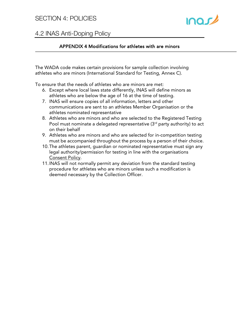-



4.2 INAS Anti-Doping Policy

#### APPENDIX 4 Modifications for athletes with are minors

The WADA code makes certain provisions for sample collection involving athletes who are minors (International Standard for Testing, Annex C).

To ensure that the needs of athletes who are minors are met:

- 6. Except where local laws state differently, INAS will define minors as athletes who are below the age of 16 at the time of testing.
- 7. INAS will ensure copies of all information, letters and other communications are sent to an athletes Member Organisation or the athletes nominated representative
- 8. Athletes who are minors and who are selected to the Registered Testing Pool must nominate a delegated representative (3<sup>rd</sup> party authority) to act on their behalf
- 9. Athletes who are minors and who are selected for in-competition testing must be accompanied throughout the process by a person of their choice.
- 10.The athletes parent, guardian or nominated representative must sign any legal authority/permission for testing in line with the organisations Consent Policy.
- 11.INAS will not normally permit any deviation from the standard testing procedure for athletes who are minors unless such a modification is deemed necessary by the Collection Officer.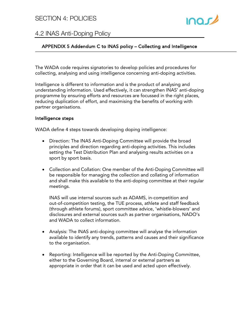

## 4.2 INAS Anti-Doping Policy

## APPENDIX 5 Addendum C to INAS policy – Collecting and Intelligence

The WADA code requires signatories to develop policies and procedures for collecting, analysing and using intelligence concerning anti-doping activities.

Intelligence is different to information and is the product of analysing and understanding information. Used effectively, it can strengthen INAS' anti-doping programme by ensuring efforts and resources are focussed in the right places, reducing duplication of effort, and maximising the benefits of working with partner organisations.

#### Intelligence steps

-

WADA define 4 steps towards developing doping intelligence:

- Direction: The INAS Anti-Doping Committee will provide the broad principles and direction regarding anti-doping activities. This includes setting the Test Distribution Plan and analysing results activities on a sport by sport basis.
- Collection and Collation: One member of the Anti-Doping Committee will be responsible for managing the collection and collating of information and shall make this available to the anti-doping committee at their regular meetings.

INAS will use internal sources such as ADAMS, in-competition and out-of-competition testing, the TUE process, athlete and staff feedback (through athlete forums), sport committee advice, 'whistle-blowers' and disclosures and external sources such as partner organisations, NADO's and WADA to collect information.

- Analysis: The INAS anti-doping committee will analyse the information available to identify any trends, patterns and causes and their significance to the organisation.
- Reporting: Intelligence will be reported by the Anti-Doping Committee, either to the Governing Board, internal or external partners as appropriate in order that it can be used and acted upon effectively.